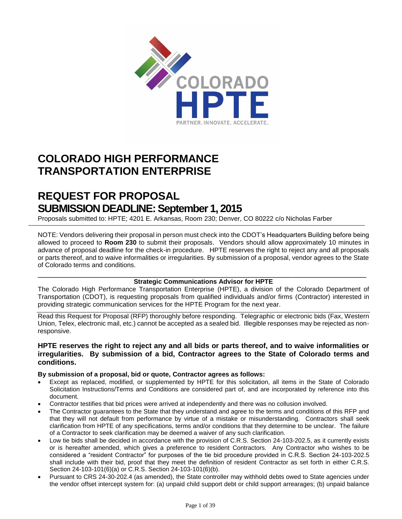

# **COLORADO HIGH PERFORMANCE TRANSPORTATION ENTERPRISE**

# **REQUEST FOR PROPOSAL SUBMISSION DEADLINE: September 1, 2015**

Proposals submitted to: HPTE; 4201 E. Arkansas, Room 230; Denver, CO 80222 c/o Nicholas Farber

NOTE: Vendors delivering their proposal in person must check into the CDOT's Headquarters Building before being allowed to proceed to **Room 230** to submit their proposals. Vendors should allow approximately 10 minutes in advance of proposal deadline for the check-in procedure. HPTE reserves the right to reject any and all proposals or parts thereof, and to waive informalities or irregularities. By submission of a proposal, vendor agrees to the State of Colorado terms and conditions.

#### \_\_\_\_\_\_\_\_\_\_\_\_\_\_\_\_\_\_\_\_\_\_\_\_\_\_\_\_\_\_\_\_\_\_\_\_\_\_\_\_\_\_\_\_\_\_\_\_\_\_\_\_\_\_\_\_\_\_\_\_\_\_\_\_\_\_\_\_\_\_\_\_\_\_\_ **Strategic Communications Advisor for HPTE**

The Colorado High Performance Transportation Enterprise (HPTE), a division of the Colorado Department of Transportation (CDOT), is requesting proposals from qualified individuals and/or firms (Contractor) interested in providing strategic communication services for the HPTE Program for the next year.

Read this Request for Proposal (RFP) thoroughly before responding. Telegraphic or electronic bids (Fax, Western Union, Telex, electronic mail, etc.) cannot be accepted as a sealed bid. Illegible responses may be rejected as nonresponsive.

#### **HPTE reserves the right to reject any and all bids or parts thereof, and to waive informalities or irregularities. By submission of a bid, Contractor agrees to the State of Colorado terms and conditions.**

#### **By submission of a proposal, bid or quote, Contractor agrees as follows:**

- Except as replaced, modified, or supplemented by HPTE for this solicitation, all items in the State of Colorado Solicitation Instructions/Terms and Conditions are considered part of, and are incorporated by reference into this document.
- Contractor testifies that bid prices were arrived at independently and there was no collusion involved.
- The Contractor guarantees to the State that they understand and agree to the terms and conditions of this RFP and that they will not default from performance by virtue of a mistake or misunderstanding. Contractors shall seek clarification from HPTE of any specifications, terms and/or conditions that they determine to be unclear. The failure of a Contractor to seek clarification may be deemed a waiver of any such clarification.
- Low tie bids shall be decided in accordance with the provision of C.R.S. Section 24-103-202.5, as it currently exists or is hereafter amended, which gives a preference to resident Contractors. Any Contractor who wishes to be considered a "resident Contractor" for purposes of the tie bid procedure provided in C.R.S. Section 24-103-202.5 shall include with their bid, proof that they meet the definition of resident Contractor as set forth in either C.R.S. Section 24-103-101(6)(a) or C.R.S. Section 24-103-101(6)(b).
- Pursuant to CRS 24-30-202.4 (as amended), the State controller may withhold debts owed to State agencies under the vendor offset intercept system for: (a) unpaid child support debt or child support arrearages; (b) unpaid balance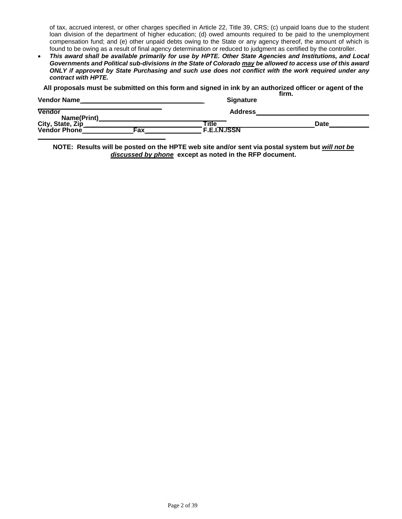of tax, accrued interest, or other charges specified in Article 22, Title 39, CRS; (c) unpaid loans due to the student loan division of the department of higher education; (d) owed amounts required to be paid to the unemployment compensation fund; and (e) other unpaid debts owing to the State or any agency thereof, the amount of which is found to be owing as a result of final agency determination or reduced to judgment as certified by the controller.

 *This award shall be available primarily for use by HPTE. Other State Agencies and Institutions, and Local Governments and Political sub-divisions in the State of Colorado may be allowed to access use of this award ONLY if approved by State Purchasing and such use does not conflict with the work required under any contract with HPTE.*

**All proposals must be submitted on this form and signed in ink by an authorized officer or agent of the** 

| <b>Vendor Name</b>                |     | <b>Signature</b>             | firm. |             |
|-----------------------------------|-----|------------------------------|-------|-------------|
| <b>Vendor</b><br>Name(Print)      |     | <b>Address</b>               |       |             |
| City, State, Zip_<br>Vendor Phone | Fax | ™itle<br><b>F.E.I.N./SSN</b> |       | <b>Date</b> |

**NOTE: Results will be posted on the HPTE web site and/or sent via postal system but** *will not be discussed by phone* **except as noted in the RFP document.**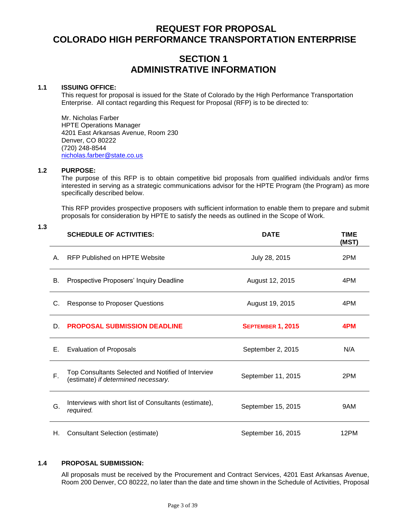# **REQUEST FOR PROPOSAL COLORADO HIGH PERFORMANCE TRANSPORTATION ENTERPRISE**

# **SECTION 1 ADMINISTRATIVE INFORMATION**

#### **1.1 ISSUING OFFICE:**

This request for proposal is issued for the State of Colorado by the High Performance Transportation Enterprise. All contact regarding this Request for Proposal (RFP) is to be directed to:

Mr. Nicholas Farber HPTE Operations Manager 4201 East Arkansas Avenue, Room 230 Denver, CO 80222 (720) 248-8544 [nicholas.farber@state.co.us](mailto:nicholas.farber@state.co.us)

#### **1.2 PURPOSE:**

The purpose of this RFP is to obtain competitive bid proposals from qualified individuals and/or firms interested in serving as a strategic communications advisor for the HPTE Program (the Program) as more specifically described below.

This RFP provides prospective proposers with sufficient information to enable them to prepare and submit proposals for consideration by HPTE to satisfy the needs as outlined in the Scope of Work.

|    | <b>SCHEDULE OF ACTIVITIES:</b>                                                            | <b>DATE</b>              | <b>TIME</b><br>(MST) |
|----|-------------------------------------------------------------------------------------------|--------------------------|----------------------|
| Α. | <b>RFP Published on HPTE Website</b>                                                      | July 28, 2015            | 2PM                  |
| В. | Prospective Proposers' Inquiry Deadline                                                   | August 12, 2015          | 4PM                  |
| C. | <b>Response to Proposer Questions</b>                                                     | August 19, 2015          | 4PM                  |
| D. | <b>PROPOSAL SUBMISSION DEADLINE</b>                                                       | <b>SEPTEMBER 1, 2015</b> | 4PM                  |
| Е. | <b>Evaluation of Proposals</b>                                                            | September 2, 2015        | N/A                  |
| F. | Top Consultants Selected and Notified of Interview<br>(estimate) if determined necessary. | September 11, 2015       | 2PM                  |
| G. | Interviews with short list of Consultants (estimate),<br>required.                        | September 15, 2015       | 9AM                  |
| Η. | <b>Consultant Selection (estimate)</b>                                                    | September 16, 2015       | 12PM                 |

#### **1.4 PROPOSAL SUBMISSION:**

All proposals must be received by the Procurement and Contract Services, 4201 East Arkansas Avenue, Room 200 Denver, CO 80222, no later than the date and time shown in the Schedule of Activities, Proposal

# **1.3**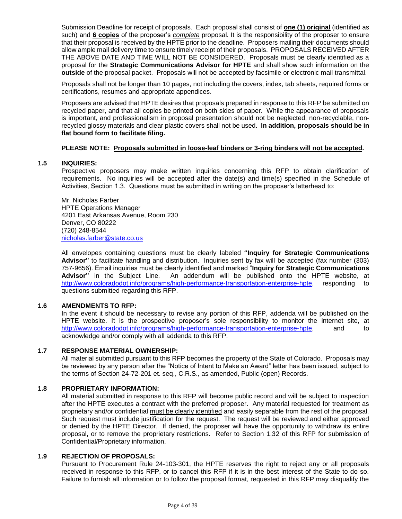Submission Deadline for receipt of proposals. Each proposal shall consist of **one (1) original** (identified as such) and **6 copies** of the proposer's *complete* proposal. It is the responsibility of the proposer to ensure that their proposal is received by the HPTE prior to the deadline. Proposers mailing their documents should allow ample mail delivery time to ensure timely receipt of their proposals. PROPOSALS RECEIVED AFTER THE ABOVE DATE AND TIME WILL NOT BE CONSIDERED. Proposals must be clearly identified as a proposal for the **Strategic Communications Advisor for HPTE** and shall show such information on the **outside** of the proposal packet. Proposals will not be accepted by facsimile or electronic mail transmittal.

Proposals shall not be longer than 10 pages, not including the covers, index, tab sheets, required forms or certifications, resumes and appropriate appendices.

Proposers are advised that HPTE desires that proposals prepared in response to this RFP be submitted on recycled paper, and that all copies be printed on both sides of paper. While the appearance of proposals is important, and professionalism in proposal presentation should not be neglected, non-recyclable, nonrecycled glossy materials and clear plastic covers shall not be used. **In addition, proposals should be in flat bound form to facilitate filing.**

#### **PLEASE NOTE: Proposals submitted in loose-leaf binders or 3-ring binders will not be accepted.**

#### **1.5 INQUIRIES:**

Prospective proposers may make written inquiries concerning this RFP to obtain clarification of requirements. No inquiries will be accepted after the date(s) and time(s) specified in the Schedule of Activities, Section 1.3. Questions must be submitted in writing on the proposer's letterhead to:

Mr. Nicholas Farber HPTE Operations Manager 4201 East Arkansas Avenue, Room 230 Denver, CO 80222 (720) 248-8544 [nicholas.farber@state.co.us](mailto:nicholas.farber@state.co.us)

All envelopes containing questions must be clearly labeled **"Inquiry for Strategic Communications Advisor"** to facilitate handling and distribution. Inquiries sent by fax will be accepted (fax number (303) 757-9656). Email inquiries must be clearly identified and marked "**Inquiry for Strategic Communications Advisor"** in the Subject Line. An addendum will be published onto the HPTE website, at [http://www.coloradodot.info/programs/high-performance-transportation-enterprise-hpte,](http://www.coloradodot.info/programs/high-performance-transportation-enterprise-hpte) responding to questions submitted regarding this RFP.

#### **1.6 AMENDMENTS TO RFP:**

In the event it should be necessary to revise any portion of this RFP, addenda will be published on the HPTE website. It is the prospective proposer's sole responsibility to monitor the internet site, at [http://www.coloradodot.info/programs/high-performance-transportation-enterprise-hpte,](http://www.coloradodot.info/programs/high-performance-transportation-enterprise-hpte) and to acknowledge and/or comply with all addenda to this RFP.

#### **1.7 RESPONSE MATERIAL OWNERSHIP:**

All material submitted pursuant to this RFP becomes the property of the State of Colorado. Proposals may be reviewed by any person after the "Notice of Intent to Make an Award" letter has been issued, subject to the terms of Section 24-72-201 et. seq., C.R.S., as amended, Public (open) Records.

#### **1.8 PROPRIETARY INFORMATION:**

All material submitted in response to this RFP will become public record and will be subject to inspection after the HPTE executes a contract with the preferred proposer. Any material requested for treatment as proprietary and/or confidential must be clearly identified and easily separable from the rest of the proposal. Such request must include justification for the request. The request will be reviewed and either approved or denied by the HPTE Director. If denied, the proposer will have the opportunity to withdraw its entire proposal, or to remove the proprietary restrictions. Refer to Section 1.32 of this RFP for submission of Confidential/Proprietary information.

#### **1.9 REJECTION OF PROPOSALS:**

Pursuant to Procurement Rule 24-103-301, the HPTE reserves the right to reject any or all proposals received in response to this RFP, or to cancel this RFP if it is in the best interest of the State to do so. Failure to furnish all information or to follow the proposal format, requested in this RFP may disqualify the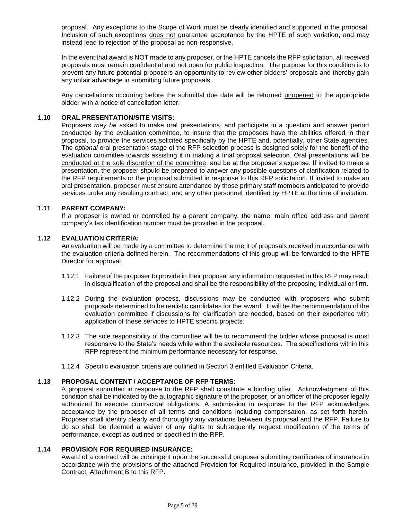proposal. Any exceptions to the Scope of Work must be clearly identified and supported in the proposal. Inclusion of such exceptions does not guarantee acceptance by the HPTE of such variation, and may instead lead to rejection of the proposal as non-responsive.

In the event that award is NOT made to any proposer, or the HPTE cancels the RFP solicitation, all received proposals must remain confidential and not open for public inspection. The purpose for this condition is to prevent any future potential proposers an opportunity to review other bidders' proposals and thereby gain any unfair advantage in submitting future proposals.

Any cancellations occurring before the submittal due date will be returned unopened to the appropriate bidder with a notice of cancellation letter.

#### **1.10 ORAL PRESENTATION/SITE VISITS:**

Proposers *may be* asked to make oral presentations, and participate in a question and answer period conducted by the evaluation committee, to insure that the proposers have the abilities offered in their proposal, to provide the services solicited specifically by the HPTE and, potentially, other State agencies. The *optional* oral presentation stage of the RFP selection process is designed solely for the benefit of the evaluation committee towards assisting it in making a final proposal selection. Oral presentations will be conducted at the sole discretion of the committee, and be at the proposer's expense. If invited to make a presentation, the proposer should be prepared to answer any possible questions of clarification related to the RFP requirements or the proposal submitted in response to this RFP solicitation. If invited to make an oral presentation, proposer must ensure attendance by those primary staff members anticipated to provide services under any resulting contract, and any other personnel identified by HPTE at the time of invitation.

#### **1.11 PARENT COMPANY:**

If a proposer is owned or controlled by a parent company, the name, main office address and parent company's tax identification number must be provided in the proposal.

#### **1.12 EVALUATION CRITERIA:**

An evaluation will be made by a committee to determine the merit of proposals received in accordance with the evaluation criteria defined herein. The recommendations of this group will be forwarded to the HPTE Director for approval.

- 1.12.1 Failure of the proposer to provide in their proposal any information requested in this RFP may result in disqualification of the proposal and shall be the responsibility of the proposing individual or firm.
- 1.12.2 During the evaluation process, discussions may be conducted with proposers who submit proposals determined to be realistic candidates for the award. It will be the recommendation of the evaluation committee if discussions for clarification are needed, based on their experience with application of these services to HPTE specific projects.
- 1.12.3 The sole responsibility of the committee will be to recommend the bidder whose proposal is most responsive to the State's needs while within the available resources. The specifications within this RFP represent the minimum performance necessary for response.
- 1.12.4 Specific evaluation criteria are outlined in Section 3 entitled Evaluation Criteria.

#### **1.13 PROPOSAL CONTENT / ACCEPTANCE OF RFP TERMS:**

A proposal submitted in response to the RFP shall constitute a binding offer. Acknowledgment of this condition shall be indicated by the autographic signature of the proposer, or an officer of the proposer legally authorized to execute contractual obligations. A submission in response to the RFP acknowledges acceptance by the proposer of all terms and conditions including compensation, as set forth herein. Proposer shall identify clearly and thoroughly any variations between its proposal and the RFP. Failure to do so shall be deemed a waiver of any rights to subsequently request modification of the terms of performance, except as outlined or specified in the RFP.

#### **1.14 PROVISION FOR REQUIRED INSURANCE:**

Award of a contract will be contingent upon the successful proposer submitting certificates of insurance in accordance with the provisions of the attached Provision for Required Insurance, provided in the Sample Contract, Attachment B to this RFP.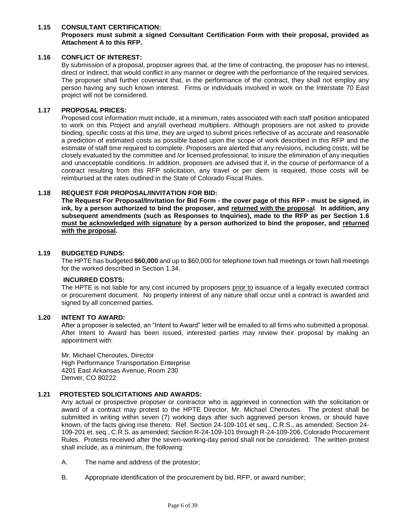#### **1.15 CONSULTANT CERTIFICATION:**

#### **Proposers must submit a signed Consultant Certification Form with their proposal, provided as Attachment A to this RFP.**

#### **1.16 CONFLICT OF INTEREST:**

By submission of a proposal, proposer agrees that, at the time of contracting, the proposer has no interest, direct or indirect, that would conflict in any manner or degree with the performance of the required services. The proposer shall further covenant that, in the performance of the contract, they shall not employ any person having any such known interest. Firms or individuals involved in work on the Interstate 70 East project will not be considered.

#### **1.17 PROPOSAL PRICES:**

Proposed cost information must include, at a minimum, rates associated with each staff position anticipated to work on this Project and any/all overhead multipliers. Although proposers are not asked to provide binding, specific costs at this time, they are urged to submit prices reflective of as accurate and reasonable a prediction of estimated costs as possible based upon the scope of work described in this RFP and the estimate of staff time required to complete. Proposers are alerted that any revisions, including costs, will be closely evaluated by the committee and /or licensed professional, to insure the elimination of any inequities and unacceptable conditions. In addition, proposers are advised that if, in the course of performance of a contract resulting from this RFP solicitation, any travel or per diem is required, those costs will be reimbursed at the rates outlined in the State of Colorado Fiscal Rules.

#### **1.18 REQUEST FOR PROPOSAL/INVITATION FOR BID:**

**The Request For Proposal/Invitation for Bid Form - the cover page of this RFP - must be signed, in ink, by a person authorized to bind the proposer, and returned with the proposal**. **In addition, any subsequent amendments (such as Responses to Inquiries), made to the RFP as per Section 1.6 must be acknowledged with signature by a person authorized to bind the proposer, and returned with the proposal.**

#### **1.19 BUDGETED FUNDS:**

The HPTE has budgeted **\$60,000** and up to \$60,000 for telephone town hall meetings or town hall meetings for the worked described in Section 1.34.

#### **INCURRED COSTS:**

The HPTE is not liable for any cost incurred by proposers prior to issuance of a legally executed contract or procurement document. No property interest of any nature shall occur until a contract is awarded and signed by all concerned parties.

#### **1.20 INTENT TO AWARD:**

After a proposer is selected, an "Intent to Award" letter will be emailed to all firms who submitted a proposal. After Intent to Award has been issued, interested parties may review their proposal by making an appointment with:

Mr. Michael Cheroutes, Director High Performance Transportation Enterprise 4201 East Arkansas Avenue, Room 230 Denver, CO 80222

#### **1.21 PROTESTED SOLICITATIONS AND AWARDS:**

Any actual or prospective proposer or contractor who is aggrieved in connection with the solicitation or award of a contract may protest to the HPTE Director, Mr. Michael Cheroutes. The protest shall be submitted in writing within seven (7) working days after such aggrieved person knows, or should have known, of the facts giving rise thereto. Ref. Section 24-109-101 et seq., C.R.S., as amended; Section 24- 109-201 et. seq., C.R.S. as amended; Section R-24-109-101 through R-24-109-206, Colorado Procurement Rules. Protests received after the seven-working-day period shall not be considered. The written protest shall include, as a minimum, the following:

- A. The name and address of the protestor;
- B. Appropriate identification of the procurement by bid, RFP, or award number;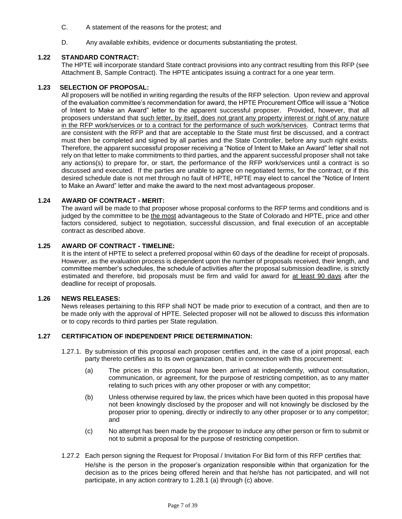- C. A statement of the reasons for the protest; and
- D. Any available exhibits, evidence or documents substantiating the protest.

#### **1.22 STANDARD CONTRACT:**

The HPTE will incorporate standard State contract provisions into any contract resulting from this RFP (see Attachment B, Sample Contract). The HPTE anticipates issuing a contract for a one year term.

#### **1.23 SELECTION OF PROPOSAL:**

All proposers will be notified in writing regarding the results of the RFP selection. Upon review and approval of the evaluation committee's recommendation for award, the HPTE Procurement Office will issue a "Notice of Intent to Make an Award" letter to the apparent successful proposer. Provided, however, that all proposers understand that such letter, by itself, does not grant any property interest or right of any nature in the RFP work/services or to a contract for the performance of such work/services. Contract terms that are consistent with the RFP and that are acceptable to the State must first be discussed, and a contract must then be completed and signed by all parties and the State Controller, before any such right exists. Therefore, the apparent successful proposer receiving a "Notice of Intent to Make an Award" letter shall not rely on that letter to make commitments to third parties, and the apparent successful proposer shall not take any actions(s) to prepare for, or start, the performance of the RFP work/services until a contract is so discussed and executed. If the parties are unable to agree on negotiated terms, for the contract, or if this desired schedule date is not met through no fault of HPTE, HPTE may elect to cancel the "Notice of Intent to Make an Award" letter and make the award to the next most advantageous proposer.

#### **1.24 AWARD OF CONTRACT - MERIT:**

The award will be made to that proposer whose proposal conforms to the RFP terms and conditions and is judged by the committee to be the most advantageous to the State of Colorado and HPTE, price and other factors considered, subject to negotiation, successful discussion, and final execution of an acceptable contract as described above.

#### **1.25 AWARD OF CONTRACT - TIMELINE:**

It is the intent of HPTE to select a preferred proposal within 60 days of the deadline for receipt of proposals. However, as the evaluation process is dependent upon the number of proposals received, their length, and committee member's schedules, the schedule of activities after the proposal submission deadline, is strictly estimated and therefore, bid proposals must be firm and valid for award for at least 90 days after the deadline for receipt of proposals.

#### **1.26 NEWS RELEASES:**

News releases pertaining to this RFP shall NOT be made prior to execution of a contract, and then are to be made only with the approval of HPTE. Selected proposer will not be allowed to discuss this information or to copy records to third parties per State regulation.

#### **1.27 CERTIFICATION OF INDEPENDENT PRICE DETERMINATION:**

- 1.27.1. By submission of this proposal each proposer certifies and, in the case of a joint proposal, each party thereto certifies as to its own organization, that in connection with this procurement:
	- (a) The prices in this proposal have been arrived at independently, without consultation, communication, or agreement, for the purpose of restricting competition, as to any matter relating to such prices with any other proposer or with any competitor;
	- (b) Unless otherwise required by law, the prices which have been quoted in this proposal have not been knowingly disclosed by the proposer and will not knowingly be disclosed by the proposer prior to opening, directly or indirectly to any other proposer or to any competitor; and
	- (c) No attempt has been made by the proposer to induce any other person or firm to submit or not to submit a proposal for the purpose of restricting competition.
- 1.27.2 Each person signing the Request for Proposal / Invitation For Bid form of this RFP certifies that: He/she is the person in the proposer's organization responsible within that organization for the decision as to the prices being offered herein and that he/she has not participated, and will not participate, in any action contrary to 1.28.1 (a) through (c) above.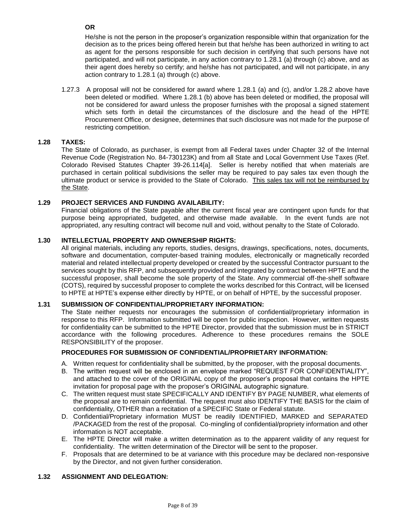**OR**

He/she is not the person in the proposer's organization responsible within that organization for the decision as to the prices being offered herein but that he/she has been authorized in writing to act as agent for the persons responsible for such decision in certifying that such persons have not participated, and will not participate, in any action contrary to 1.28.1 (a) through (c) above, and as their agent does hereby so certify; and he/she has not participated, and will not participate, in any action contrary to 1.28.1 (a) through (c) above.

1.27.3 A proposal will not be considered for award where 1.28.1 (a) and (c), and/or 1.28.2 above have been deleted or modified. Where 1.28.1 (b) above has been deleted or modified, the proposal will not be considered for award unless the proposer furnishes with the proposal a signed statement which sets forth in detail the circumstances of the disclosure and the head of the HPTE Procurement Office, or designee, determines that such disclosure was not made for the purpose of restricting competition.

#### **1.28 TAXES:**

The State of Colorado, as purchaser, is exempt from all Federal taxes under Chapter 32 of the Internal Revenue Code (Registration No. 84-730123K) and from all State and Local Government Use Taxes (Ref. Colorado Revised Statutes Chapter 39-26.114[a]. Seller is hereby notified that when materials are purchased in certain political subdivisions the seller may be required to pay sales tax even though the ultimate product or service is provided to the State of Colorado. This sales tax will not be reimbursed by the State.

#### **1.29 PROJECT SERVICES AND FUNDING AVAILABILITY:**

Financial obligations of the State payable after the current fiscal year are contingent upon funds for that purpose being appropriated, budgeted, and otherwise made available. In the event funds are not appropriated, any resulting contract will become null and void, without penalty to the State of Colorado.

#### **1.30 INTELLECTUAL PROPERTY AND OWNERSHIP RIGHTS:**

All original materials, including any reports, studies, designs, drawings, specifications, notes, documents, software and documentation, computer-based training modules, electronically or magnetically recorded material and related intellectual property developed or created by the successful Contractor pursuant to the services sought by this RFP, and subsequently provided and integrated by contract between HPTE and the successful proposer, shall become the sole property of the State. Any commercial off-the-shelf software (COTS), required by successful proposer to complete the works described for this Contract, will be licensed to HPTE at HPTE's expense either directly by HPTE, or on behalf of HPTE, by the successful proposer.

#### **1.31 SUBMISSION OF CONFIDENTIAL/PROPRIETARY INFORMATION:**

The State neither requests nor encourages the submission of confidential/proprietary information in response to this RFP. Information submitted will be open for public inspection. However, written requests for confidentiality can be submitted to the HPTE Director, provided that the submission must be in STRICT accordance with the following procedures. Adherence to these procedures remains the SOLE RESPONSIBILITY of the proposer.

#### **PROCEDURES FOR SUBMISSION OF CONFIDENTIAL/PROPRIETARY INFORMATION:**

- A. Written request for confidentiality shall be submitted, by the proposer, with the proposal documents.
- B. The written request will be enclosed in an envelope marked "REQUEST FOR CONFIDENTIALITY" and attached to the cover of the ORIGINAL copy of the proposer's proposal that contains the HPTE invitation for proposal page with the proposer's ORIGINAL autographic signature.
- C. The written request must state SPECIFICALLY AND IDENTIFY BY PAGE NUMBER, what elements of the proposal are to remain confidential. The request must also IDENTIFY THE BASIS for the claim of confidentiality, OTHER than a recitation of a SPECIFIC State or Federal statute.
- D. Confidential/Proprietary information MUST be readily IDENTIFIED, MARKED and SEPARATED /PACKAGED from the rest of the proposal. Co-mingling of confidential/propriety information and other information is NOT acceptable.
- E. The HPTE Director will make a written determination as to the apparent validity of any request for confidentiality. The written determination of the Director will be sent to the proposer.
- F. Proposals that are determined to be at variance with this procedure may be declared non-responsive by the Director, and not given further consideration.

#### **1.32 ASSIGNMENT AND DELEGATION:**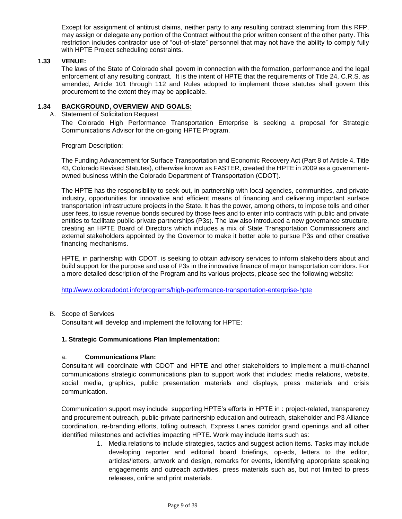Except for assignment of antitrust claims, neither party to any resulting contract stemming from this RFP, may assign or delegate any portion of the Contract without the prior written consent of the other party. This restriction includes contractor use of "out-of-state" personnel that may not have the ability to comply fully with HPTE Project scheduling constraints.

#### **1.33 VENUE:**

The laws of the State of Colorado shall govern in connection with the formation, performance and the legal enforcement of any resulting contract. It is the intent of HPTE that the requirements of Title 24, C.R.S. as amended, Article 101 through 112 and Rules adopted to implement those statutes shall govern this procurement to the extent they may be applicable.

#### **1.34 BACKGROUND, OVERVIEW AND GOALS:**

A. Statement of Solicitation Request

The Colorado High Performance Transportation Enterprise is seeking a proposal for Strategic Communications Advisor for the on-going HPTE Program.

Program Description:

The Funding Advancement for Surface Transportation and Economic Recovery Act (Part 8 of Article 4, Title 43, Colorado Revised Statutes), otherwise known as FASTER, created the HPTE in 2009 as a governmentowned business within the Colorado Department of Transportation (CDOT).

The HPTE has the responsibility to seek out, in partnership with local agencies, communities, and private industry, opportunities for innovative and efficient means of financing and delivering important surface transportation infrastructure projects in the State. It has the power, among others, to impose tolls and other user fees, to issue revenue bonds secured by those fees and to enter into contracts with public and private entities to facilitate public-private partnerships (P3s). The law also introduced a new governance structure, creating an HPTE Board of Directors which includes a mix of State Transportation Commissioners and external stakeholders appointed by the Governor to make it better able to pursue P3s and other creative financing mechanisms.

HPTE, in partnership with CDOT, is seeking to obtain advisory services to inform stakeholders about and build support for the purpose and use of P3s in the innovative finance of major transportation corridors. For a more detailed description of the Program and its various projects, please see the following website:

<http://www.coloradodot.info/programs/high-performance-transportation-enterprise-hpte>

#### B. Scope of Services

Consultant will develop and implement the following for HPTE:

#### **1. Strategic Communications Plan Implementation:**

#### a. **Communications Plan:**

Consultant will coordinate with CDOT and HPTE and other stakeholders to implement a multi-channel communications strategic communications plan to support work that includes: media relations, website, social media, graphics, public presentation materials and displays, press materials and crisis communication.

Communication support may include supporting HPTE's efforts in HPTE in : project-related, transparency and procurement outreach, public-private partnership education and outreach, stakeholder and P3 Alliance coordination, re-branding efforts, tolling outreach, Express Lanes corridor grand openings and all other identified milestones and activities impacting HPTE. Work may include items such as:

> 1. Media relations to include strategies, tactics and suggest action items. Tasks may include developing reporter and editorial board briefings, op-eds, letters to the editor, articles/letters, artwork and design, remarks for events, identifying appropriate speaking engagements and outreach activities, press materials such as, but not limited to press releases, online and print materials.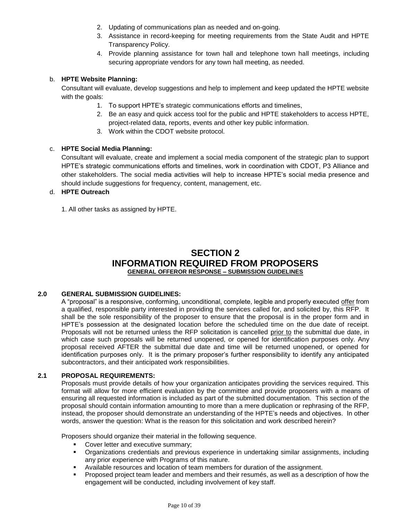- 2. Updating of communications plan as needed and on-going.
- 3. Assistance in record-keeping for meeting requirements from the State Audit and HPTE Transparency Policy.
- 4. Provide planning assistance for town hall and telephone town hall meetings, including securing appropriate vendors for any town hall meeting, as needed.

#### b. **HPTE Website Planning:**

Consultant will evaluate, develop suggestions and help to implement and keep updated the HPTE website with the goals:

- 1. To support HPTE's strategic communications efforts and timelines,
- 2. Be an easy and quick access tool for the public and HPTE stakeholders to access HPTE, project-related data, reports, events and other key public information.
- 3. Work within the CDOT website protocol.

#### c. **HPTE Social Media Planning:**

Consultant will evaluate, create and implement a social media component of the strategic plan to support HPTE's strategic communications efforts and timelines, work in coordination with CDOT, P3 Alliance and other stakeholders. The social media activities will help to increase HPTE's social media presence and should include suggestions for frequency, content, management, etc.

#### d. **HPTE Outreach**

1. All other tasks as assigned by HPTE.

# **SECTION 2 INFORMATION REQUIRED FROM PROPOSERS GENERAL OFFEROR RESPONSE – SUBMISSION GUIDELINES**

#### **2.0 GENERAL SUBMISSION GUIDELINES:**

A "proposal" is a responsive, conforming, unconditional, complete, legible and properly executed offer from a qualified, responsible party interested in providing the services called for, and solicited by, this RFP. It shall be the sole responsibility of the proposer to ensure that the proposal is in the proper form and in HPTE's possession at the designated location before the scheduled time on the due date of receipt. Proposals will not be returned unless the RFP solicitation is cancelled prior to the submittal due date, in which case such proposals will be returned unopened, or opened for identification purposes only. Any proposal received AFTER the submittal due date and time will be returned unopened, or opened for identification purposes only. It is the primary proposer's further responsibility to identify any anticipated subcontractors, and their anticipated work responsibilities.

#### **2.1 PROPOSAL REQUIREMENTS:**

Proposals must provide details of how your organization anticipates providing the services required. This format will allow for more efficient evaluation by the committee and provide proposers with a means of ensuring all requested information is included as part of the submitted documentation. This section of the proposal should contain information amounting to more than a mere duplication or rephrasing of the RFP, instead, the proposer should demonstrate an understanding of the HPTE's needs and objectives. In other words, answer the question: What is the reason for this solicitation and work described herein?

Proposers should organize their material in the following sequence.

- Cover letter and executive summary:
- Organizations credentials and previous experience in undertaking similar assignments, including any prior experience with Programs of this nature.
- Available resources and location of team members for duration of the assignment.
- Proposed project team leader and members and their resumés, as well as a description of how the engagement will be conducted, including involvement of key staff.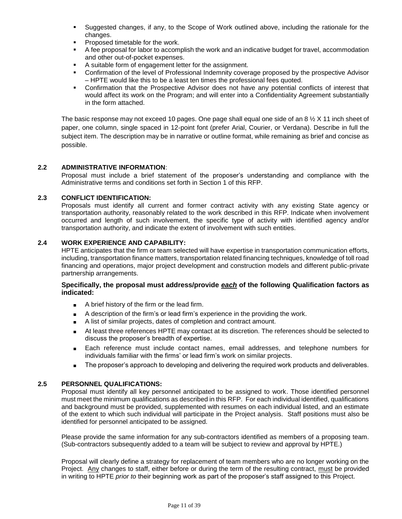- Suggested changes, if any, to the Scope of Work outlined above, including the rationale for the changes.
- Proposed timetable for the work.
- A fee proposal for labor to accomplish the work and an indicative budget for travel, accommodation and other out-of-pocket expenses.
- A suitable form of engagement letter for the assignment.
- Confirmation of the level of Professional Indemnity coverage proposed by the prospective Advisor – HPTE would like this to be a least ten times the professional fees quoted.
- Confirmation that the Prospective Advisor does not have any potential conflicts of interest that would affect its work on the Program; and will enter into a Confidentiality Agreement substantially in the form attached.

The basic response may not exceed 10 pages. One page shall equal one side of an 8  $\frac{1}{2}$  X 11 inch sheet of paper, one column, single spaced in 12-point font (prefer Arial, Courier, or Verdana). Describe in full the subject item. The description may be in narrative or outline format, while remaining as brief and concise as possible.

#### **2.2 ADMINISTRATIVE INFORMATION**:

Proposal must include a brief statement of the proposer's understanding and compliance with the Administrative terms and conditions set forth in Section 1 of this RFP.

#### **2.3 CONFLICT IDENTIFICATION:**

Proposals must identify all current and former contract activity with any existing State agency or transportation authority, reasonably related to the work described in this RFP. Indicate when involvement occurred and length of such involvement, the specific type of activity with identified agency and/or transportation authority, and indicate the extent of involvement with such entities.

#### **2.4 WORK EXPERIENCE AND CAPABILITY:**

HPTE anticipates that the firm or team selected will have expertise in transportation communication efforts, including, transportation finance matters, transportation related financing techniques, knowledge of toll road financing and operations, major project development and construction models and different public-private partnership arrangements.

#### **Specifically, the proposal must address/provide** *each* **of the following Qualification factors as indicated:**

- A brief history of the firm or the lead firm.
- A description of the firm's or lead firm's experience in the providing the work.
- A list of similar projects, dates of completion and contract amount.
- At least three references HPTE may contact at its discretion. The references should be selected to discuss the proposer's breadth of expertise.
- Each reference must include contact names, email addresses, and telephone numbers for individuals familiar with the firms' or lead firm's work on similar projects.
- The proposer's approach to developing and delivering the required work products and deliverables.

#### **2.5 PERSONNEL QUALIFICATIONS:**

Proposal must identify all key personnel anticipated to be assigned to work. Those identified personnel must meet the minimum qualifications as described in this RFP. For each individual identified, qualifications and background must be provided, supplemented with resumes on each individual listed, and an estimate of the extent to which such individual will participate in the Project analysis. Staff positions must also be identified for personnel anticipated to be assigned.

Please provide the same information for any sub-contractors identified as members of a proposing team. (Sub-contractors subsequently added to a team will be subject to review and approval by HPTE.)

Proposal will clearly define a strategy for replacement of team members who are no longer working on the Project.Any changes to staff, either before or during the term of the resulting contract, must be provided in writing to HPTE *prior to* their beginning work as part of the proposer's staff assigned to this Project.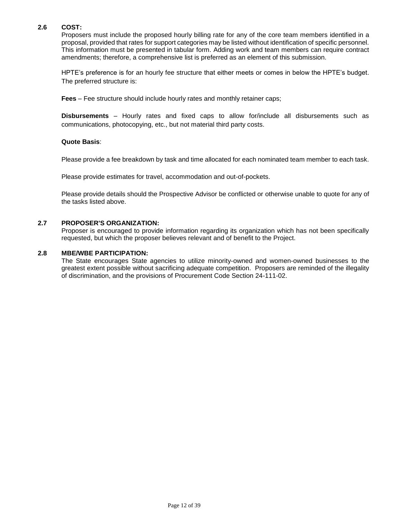#### **2.6 COST:**

Proposers must include the proposed hourly billing rate for any of the core team members identified in a proposal, provided that rates for support categories may be listed without identification of specific personnel. This information must be presented in tabular form. Adding work and team members can require contract amendments; therefore, a comprehensive list is preferred as an element of this submission.

HPTE's preference is for an hourly fee structure that either meets or comes in below the HPTE's budget. The preferred structure is:

**Fees** – Fee structure should include hourly rates and monthly retainer caps;

**Disbursements** – Hourly rates and fixed caps to allow for/include all disbursements such as communications, photocopying, etc., but not material third party costs.

#### **Quote Basis**:

Please provide a fee breakdown by task and time allocated for each nominated team member to each task.

Please provide estimates for travel, accommodation and out-of-pockets.

Please provide details should the Prospective Advisor be conflicted or otherwise unable to quote for any of the tasks listed above.

#### **2.7 PROPOSER'S ORGANIZATION:**

Proposer is encouraged to provide information regarding its organization which has not been specifically requested, but which the proposer believes relevant and of benefit to the Project.

#### **2.8 MBE/WBE PARTICIPATION:**

The State encourages State agencies to utilize minority-owned and women-owned businesses to the greatest extent possible without sacrificing adequate competition. Proposers are reminded of the illegality of discrimination, and the provisions of Procurement Code Section 24-111-02.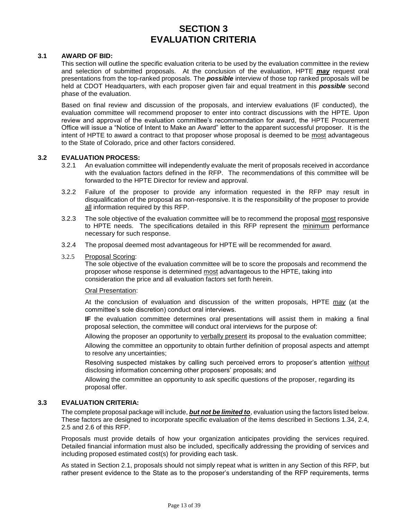# **SECTION 3 EVALUATION CRITERIA**

#### **3.1 AWARD OF BID:**

This section will outline the specific evaluation criteria to be used by the evaluation committee in the review and selection of submitted proposals. At the conclusion of the evaluation, HPTE *may* request oral presentations from the top-ranked proposals. The *possible* interview of those top ranked proposals will be held at CDOT Headquarters, with each proposer given fair and equal treatment in this *possible* second phase of the evaluation.

Based on final review and discussion of the proposals, and interview evaluations (IF conducted), the evaluation committee will recommend proposer to enter into contract discussions with the HPTE. Upon review and approval of the evaluation committee's recommendation for award, the HPTE Procurement Office will issue a "Notice of Intent to Make an Award" letter to the apparent successful proposer. It is the intent of HPTE to award a contract to that proposer whose proposal is deemed to be most advantageous to the State of Colorado, price and other factors considered.

#### **3.2 EVALUATION PROCESS:**

- 3.2.1 An evaluation committee will independently evaluate the merit of proposals received in accordance with the evaluation factors defined in the RFP. The recommendations of this committee will be forwarded to the HPTE Director for review and approval.
- 3.2.2 Failure of the proposer to provide any information requested in the RFP may result in disqualification of the proposal as non-responsive. It is the responsibility of the proposer to provide all information required by this RFP.
- 3.2.3 The sole objective of the evaluation committee will be to recommend the proposal most responsive to HPTE needs. The specifications detailed in this RFP represent the minimum performance necessary for such response.
- 3.2.4 The proposal deemed most advantageous for HPTE will be recommended for award.
- 3.2.5 Proposal Scoring:

The sole objective of the evaluation committee will be to score the proposals and recommend the proposer whose response is determined most advantageous to the HPTE, taking into consideration the price and all evaluation factors set forth herein.

#### Oral Presentation:

At the conclusion of evaluation and discussion of the written proposals, HPTE *may* (at the committee's sole discretion) conduct oral interviews.

**IF** the evaluation committee determines oral presentations will assist them in making a final proposal selection, the committee will conduct oral interviews for the purpose of:

Allowing the proposer an opportunity to verbally present its proposal to the evaluation committee;

Allowing the committee an opportunity to obtain further definition of proposal aspects and attempt to resolve any uncertainties;

Resolving suspected mistakes by calling such perceived errors to proposer's attention without disclosing information concerning other proposers' proposals; and

Allowing the committee an opportunity to ask specific questions of the proposer, regarding its proposal offer.

#### **3.3 EVALUATION CRITERIA:**

The complete proposal package will include, *but not be limited to*, evaluation using the factors listed below. These factors are designed to incorporate specific evaluation of the items described in Sections 1.34, 2.4, 2.5 and 2.6 of this RFP.

Proposals must provide details of how your organization anticipates providing the services required. Detailed financial information must also be included, specifically addressing the providing of services and including proposed estimated cost(s) for providing each task.

As stated in Section 2.1, proposals should not simply repeat what is written in any Section of this RFP, but rather present evidence to the State as to the proposer's understanding of the RFP requirements, terms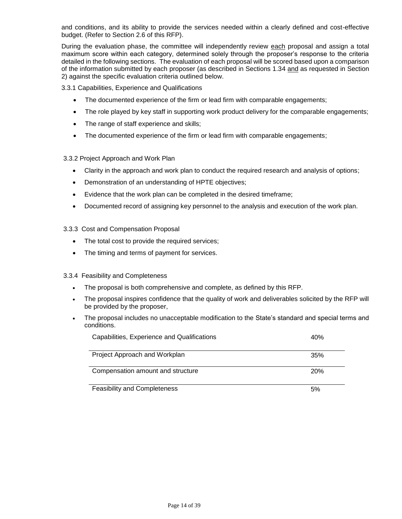and conditions, and its ability to provide the services needed within a clearly defined and cost-effective budget. (Refer to Section 2.6 of this RFP).

During the evaluation phase, the committee will independently review each proposal and assign a total maximum score within each category, determined solely through the proposer's response to the criteria detailed in the following sections. The evaluation of each proposal will be scored based upon a comparison of the information submitted by each proposer (as described in Sections 1.34 and as requested in Section 2) against the specific evaluation criteria outlined below.

3.3.1 Capabilities, Experience and Qualifications

- The documented experience of the firm or lead firm with comparable engagements;
- The role played by key staff in supporting work product delivery for the comparable engagements;
- The range of staff experience and skills;
- The documented experience of the firm or lead firm with comparable engagements;

#### 3.3.2 Project Approach and Work Plan

- Clarity in the approach and work plan to conduct the required research and analysis of options;
- Demonstration of an understanding of HPTE objectives;
- Evidence that the work plan can be completed in the desired timeframe;
- Documented record of assigning key personnel to the analysis and execution of the work plan.

#### 3.3.3 Cost and Compensation Proposal

- The total cost to provide the required services;
- The timing and terms of payment for services.

#### 3.3.4 Feasibility and Completeness

- The proposal is both comprehensive and complete, as defined by this RFP.
- The proposal inspires confidence that the quality of work and deliverables solicited by the RFP will be provided by the proposer,
- The proposal includes no unacceptable modification to the State's standard and special terms and conditions.

| Capabilities, Experience and Qualifications | 40% |
|---------------------------------------------|-----|
| Project Approach and Workplan               | 35% |
| Compensation amount and structure           | 20% |
| <b>Feasibility and Completeness</b>         | 5%  |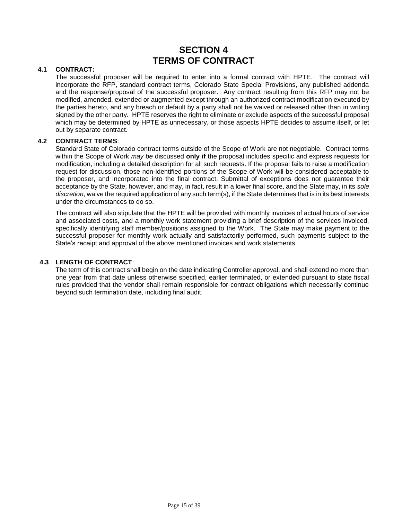# **SECTION 4 TERMS OF CONTRACT**

#### **4.1 CONTRACT:**

The successful proposer will be required to enter into a formal contract with HPTE. The contract will incorporate the RFP, standard contract terms, Colorado State Special Provisions, any published addenda and the response/proposal of the successful proposer. Any contract resulting from this RFP may not be modified, amended, extended or augmented except through an authorized contract modification executed by the parties hereto, and any breach or default by a party shall not be waived or released other than in writing signed by the other party. HPTE reserves the right to eliminate or exclude aspects of the successful proposal which may be determined by HPTE as unnecessary, or those aspects HPTE decides to assume itself, or let out by separate contract.

#### **4.2 CONTRACT TERMS**:

Standard State of Colorado contract terms outside of the Scope of Work are not negotiable. Contract terms within the Scope of Work *may be* discussed **only if** the proposal includes specific and express requests for modification, including a detailed description for all such requests. If the proposal fails to raise a modification request for discussion, those non-identified portions of the Scope of Work will be considered acceptable to the proposer, and incorporated into the final contract. Submittal of exceptions does not guarantee their acceptance by the State, however, and may, in fact, result in a lower final score, and the State may, in its *sole discretion*, waive the required application of any such term(s), if the State determines that is in its best interests under the circumstances to do so.

The contract will also stipulate that the HPTE will be provided with monthly invoices of actual hours of service and associated costs, and a monthly work statement providing a brief description of the services invoiced, specifically identifying staff member/positions assigned to the Work. The State may make payment to the successful proposer for monthly work actually and satisfactorily performed, such payments subject to the State's receipt and approval of the above mentioned invoices and work statements.

#### **4.3 LENGTH OF CONTRACT**:

The term of this contract shall begin on the date indicating Controller approval, and shall extend no more than one year from that date unless otherwise specified, earlier terminated, or extended pursuant to state fiscal rules provided that the vendor shall remain responsible for contract obligations which necessarily continue beyond such termination date, including final audit.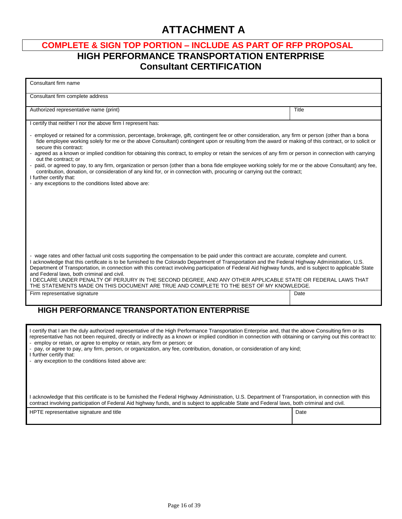# **ATTACHMENT A**

# **COMPLETE & SIGN TOP PORTION – INCLUDE AS PART OF RFP PROPOSAL HIGH PERFORMANCE TRANSPORTATION ENTERPRISE Consultant CERTIFICATION**

| Consultant firm name                                                                                                                                                                                                                                                                                                                                                                                                                                                                                                                                                                                                  |       |
|-----------------------------------------------------------------------------------------------------------------------------------------------------------------------------------------------------------------------------------------------------------------------------------------------------------------------------------------------------------------------------------------------------------------------------------------------------------------------------------------------------------------------------------------------------------------------------------------------------------------------|-------|
| Consultant firm complete address                                                                                                                                                                                                                                                                                                                                                                                                                                                                                                                                                                                      |       |
| Authorized representative name (print)                                                                                                                                                                                                                                                                                                                                                                                                                                                                                                                                                                                | Title |
| I certify that neither I nor the above firm I represent has:                                                                                                                                                                                                                                                                                                                                                                                                                                                                                                                                                          |       |
| - employed or retained for a commission, percentage, brokerage, gift, contingent fee or other consideration, any firm or person (other than a bona<br>fide employee working solely for me or the above Consultant) contingent upon or resulting from the award or making of this contract, or to solicit or<br>secure this contract:<br>- agreed as a known or implied condition for obtaining this contract, to employ or retain the services of any firm or person in connection with carrying                                                                                                                      |       |
| out the contract; or<br>- paid, or agreed to pay, to any firm, organization or person (other than a bona fide employee working solely for me or the above Consultant) any fee,<br>contribution, donation, or consideration of any kind for, or in connection with, procuring or carrying out the contract;<br>I further certify that:                                                                                                                                                                                                                                                                                 |       |
| - any exceptions to the conditions listed above are:                                                                                                                                                                                                                                                                                                                                                                                                                                                                                                                                                                  |       |
|                                                                                                                                                                                                                                                                                                                                                                                                                                                                                                                                                                                                                       |       |
|                                                                                                                                                                                                                                                                                                                                                                                                                                                                                                                                                                                                                       |       |
|                                                                                                                                                                                                                                                                                                                                                                                                                                                                                                                                                                                                                       |       |
|                                                                                                                                                                                                                                                                                                                                                                                                                                                                                                                                                                                                                       |       |
| - wage rates and other factual unit costs supporting the compensation to be paid under this contract are accurate, complete and current.<br>I acknowledge that this certificate is to be furnished to the Colorado Department of Transportation and the Federal Highway Administration, U.S.<br>Department of Transportation, in connection with this contract involving participation of Federal Aid highway funds, and is subject to applicable State<br>and Federal laws, both criminal and civil.<br>I DECLARE UNDER PENALTY OF PERJURY IN THE SECOND DEGREE, AND ANY OTHER APPLICABLE STATE OR FEDERAL LAWS THAT |       |
| THE STATEMENTS MADE ON THIS DOCUMENT ARE TRUE AND COMPLETE TO THE BEST OF MY KNOWLEDGE.                                                                                                                                                                                                                                                                                                                                                                                                                                                                                                                               |       |
| Firm representative signature                                                                                                                                                                                                                                                                                                                                                                                                                                                                                                                                                                                         | Date  |
| <b>HIGH PERFORMANCE TRANSPORTATION ENTERPRISE</b>                                                                                                                                                                                                                                                                                                                                                                                                                                                                                                                                                                     |       |
| I certify that I am the duly authorized representative of the High Performance Transportation Enterprise and, that the above Consulting firm or its<br>representative has not been required, directly or indirectly as a known or implied condition in connection with obtaining or carrying out this contract to:<br>- employ or retain, or agree to employ or retain, any firm or person; or<br>- pay, or agree to pay, any firm, person, or organization, any fee, contribution, donation, or consideration of any kind;<br>I further certify that:<br>- any exception to the conditions listed above are:         |       |
|                                                                                                                                                                                                                                                                                                                                                                                                                                                                                                                                                                                                                       |       |

I acknowledge that this certificate is to be furnished the Federal Highway Administration, U.S. Department of Transportation, in connection with this contract involving participation of Federal Aid highway funds, and is subject to applicable State and Federal laws, both criminal and civil.

| HPTE representative signature and title | Date |
|-----------------------------------------|------|
|                                         |      |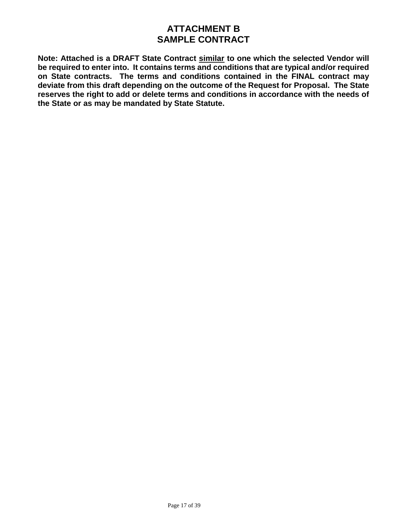# **ATTACHMENT B SAMPLE CONTRACT**

**Note: Attached is a DRAFT State Contract similar to one which the selected Vendor will be required to enter into. It contains terms and conditions that are typical and/or required on State contracts. The terms and conditions contained in the FINAL contract may deviate from this draft depending on the outcome of the Request for Proposal. The State reserves the right to add or delete terms and conditions in accordance with the needs of the State or as may be mandated by State Statute.**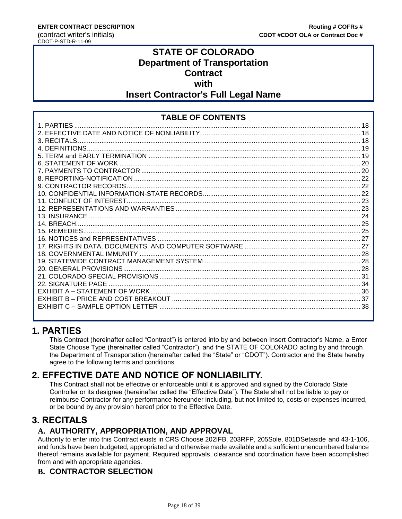# **STATE OF COLORADO Department of Transportation Contract with Insert Contractor's Full Legal Name**

# **TABLE OF CONTENTS**

# <span id="page-17-0"></span>**1. PARTIES**

This Contract (hereinafter called "Contract") is entered into by and between Insert Contractor's Name, a Enter State Choose Type (hereinafter called "Contractor"), and the STATE OF COLORADO acting by and through the Department of Transportation (hereinafter called the "State" or "CDOT"). Contractor and the State hereby agree to the following terms and conditions.

# <span id="page-17-1"></span>**2. EFFECTIVE DATE AND NOTICE OF NONLIABILITY.**

This Contract shall not be effective or enforceable until it is approved and signed by the Colorado State Controller or its designee (hereinafter called the "Effective Date"). The State shall not be liable to pay or reimburse Contractor for any performance hereunder including, but not limited to, costs or expenses incurred, or be bound by any provision hereof prior to the Effective Date.

# <span id="page-17-2"></span>**3. RECITALS**

# **A. AUTHORITY, APPROPRIATION, AND APPROVAL**

Authority to enter into this Contract exists in CRS Choose 202IFB, 203RFP, 205Sole, 801DSetaside and 43-1-106, and funds have been budgeted, appropriated and otherwise made available and a sufficient unencumbered balance thereof remains available for payment. Required approvals, clearance and coordination have been accomplished from and with appropriate agencies.

# **B. CONTRACTOR SELECTION**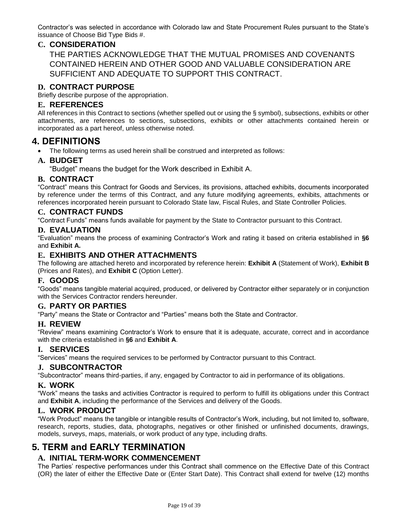Contractor's was selected in accordance with Colorado law and State Procurement Rules pursuant to the State's issuance of Choose Bid Type Bids #.

# **C. CONSIDERATION**

THE PARTIES ACKNOWLEDGE THAT THE MUTUAL PROMISES AND COVENANTS CONTAINED HEREIN AND OTHER GOOD AND VALUABLE CONSIDERATION ARE SUFFICIENT AND ADEQUATE TO SUPPORT THIS CONTRACT.

# **D. CONTRACT PURPOSE**

Briefly describe purpose of the appropriation.

#### **E. REFERENCES**

All references in this Contract to sections (whether spelled out or using the § symbol), subsections, exhibits or other attachments, are references to sections, subsections, exhibits or other attachments contained herein or incorporated as a part hereof, unless otherwise noted.

# <span id="page-18-0"></span>**4. DEFINITIONS**

The following terms as used herein shall be construed and interpreted as follows:

#### **A. BUDGET**

"Budget" means the budget for the Work described in Exhibit A.

## **B. CONTRACT**

"Contract" means this Contract for Goods and Services, its provisions, attached exhibits, documents incorporated by reference under the terms of this Contract, and any future modifying agreements, exhibits, attachments or references incorporated herein pursuant to Colorado State law, Fiscal Rules, and State Controller Policies.

#### **C. CONTRACT FUNDS**

"Contract Funds" means funds available for payment by the State to Contractor pursuant to this Contract.

#### **D. EVALUATION**

"Evaluation" means the process of examining Contractor's Work and rating it based on criteria established in **§6** and **Exhibit A.**

# **E. EXHIBITS AND OTHER ATTACHMENTS**

The following are attached hereto and incorporated by reference herein: **Exhibit A** (Statement of Work), **Exhibit B** (Prices and Rates), and **Exhibit C** (Option Letter).

## **F. GOODS**

"Goods" means tangible material acquired, produced, or delivered by Contractor either separately or in conjunction with the Services Contractor renders hereunder.

## **G. PARTY OR PARTIES**

"Party" means the State or Contractor and "Parties" means both the State and Contractor.

## **H. REVIEW**

"Review" means examining Contractor's Work to ensure that it is adequate, accurate, correct and in accordance with the criteria established in **§6** and **Exhibit A**.

#### **I. SERVICES**

"Services" means the required services to be performed by Contractor pursuant to this Contract.

#### **J. SUBCONTRACTOR**

"Subcontractor" means third-parties, if any, engaged by Contractor to aid in performance of its obligations.

#### **K. WORK**

"Work" means the tasks and activities Contractor is required to perform to fulfill its obligations under this Contract and **Exhibit A**, including the performance of the Services and delivery of the Goods.

## **L. WORK PRODUCT**

"Work Product" means the tangible or intangible results of Contractor's Work, including, but not limited to, software, research, reports, studies, data, photographs, negatives or other finished or unfinished documents, drawings, models, surveys, maps, materials, or work product of any type, including drafts.

# <span id="page-18-1"></span>**5. TERM and EARLY TERMINATION**

## **A. INITIAL TERM-WORK COMMENCEMENT**

The Parties' respective performances under this Contract shall commence on the Effective Date of this Contract (OR) the later of either the Effective Date or (Enter Start Date). This Contract shall extend for twelve (12) months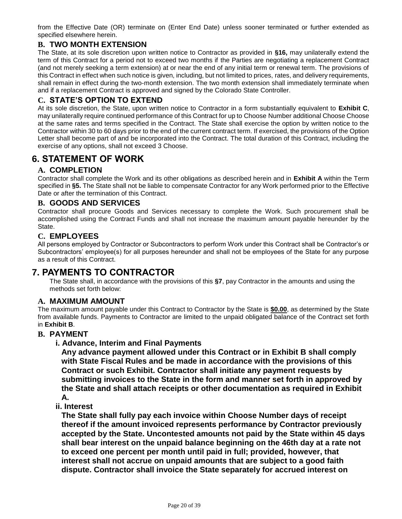from the Effective Date (OR) terminate on (Enter End Date) unless sooner terminated or further extended as specified elsewhere herein.

# **B. TWO MONTH EXTENSION**

The State, at its sole discretion upon written notice to Contractor as provided in **§16,** may unilaterally extend the term of this Contract for a period not to exceed two months if the Parties are negotiating a replacement Contract (and not merely seeking a term extension) at or near the end of any initial term or renewal term. The provisions of this Contract in effect when such notice is given, including, but not limited to prices, rates, and delivery requirements, shall remain in effect during the two-month extension. The two month extension shall immediately terminate when and if a replacement Contract is approved and signed by the Colorado State Controller.

# **C. STATE'S OPTION TO EXTEND**

At its sole discretion, the State, upon written notice to Contractor in a form substantially equivalent to **Exhibit C**, may unilaterally require continued performance of this Contract for up to Choose Number additional Choose Choose at the same rates and terms specified in the Contract. The State shall exercise the option by written notice to the Contractor within 30 to 60 days prior to the end of the current contract term. If exercised, the provisions of the Option Letter shall become part of and be incorporated into the Contract. The total duration of this Contract, including the exercise of any options, shall not exceed 3 Choose.

# <span id="page-19-0"></span>**6. STATEMENT OF WORK**

# **A. COMPLETION**

Contractor shall complete the Work and its other obligations as described herein and in **Exhibit A** within the Term specified in **§5.** The State shall not be liable to compensate Contractor for any Work performed prior to the Effective Date or after the termination of this Contract.

## **B. GOODS AND SERVICES**

Contractor shall procure Goods and Services necessary to complete the Work. Such procurement shall be accomplished using the Contract Funds and shall not increase the maximum amount payable hereunder by the State.

## **C. EMPLOYEES**

All persons employed by Contractor or Subcontractors to perform Work under this Contract shall be Contractor's or Subcontractors' employee(s) for all purposes hereunder and shall not be employees of the State for any purpose as a result of this Contract.

# <span id="page-19-1"></span>**7. PAYMENTS TO CONTRACTOR**

The State shall, in accordance with the provisions of this **§7**, pay Contractor in the amounts and using the methods set forth below:

## **A. MAXIMUM AMOUNT**

The maximum amount payable under this Contract to Contractor by the State is **\$0.00**, as determined by the State from available funds. Payments to Contractor are limited to the unpaid obligated balance of the Contract set forth in **Exhibit B**.

## **B. PAYMENT**

## **i. Advance, Interim and Final Payments**

**Any advance payment allowed under this Contract or in Exhibit B shall comply with State Fiscal Rules and be made in accordance with the provisions of this Contract or such Exhibit. Contractor shall initiate any payment requests by submitting invoices to the State in the form and manner set forth in approved by the State and shall attach receipts or other documentation as required in Exhibit A.**

## **ii. Interest**

**The State shall fully pay each invoice within Choose Number days of receipt thereof if the amount invoiced represents performance by Contractor previously accepted by the State. Uncontested amounts not paid by the State within 45 days shall bear interest on the unpaid balance beginning on the 46th day at a rate not to exceed one percent per month until paid in full; provided, however, that interest shall not accrue on unpaid amounts that are subject to a good faith dispute. Contractor shall invoice the State separately for accrued interest on**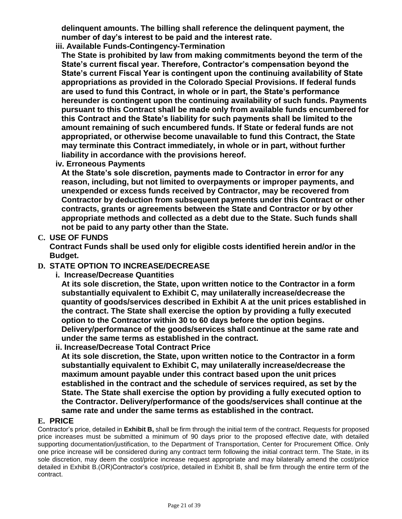**delinquent amounts. The billing shall reference the delinquent payment, the number of day's interest to be paid and the interest rate.**

**iii. Available Funds-Contingency-Termination**

**The State is prohibited by law from making commitments beyond the term of the State's current fiscal year. Therefore, Contractor's compensation beyond the State's current Fiscal Year is contingent upon the continuing availability of State appropriations as provided in the Colorado Special Provisions. If federal funds are used to fund this Contract, in whole or in part, the State's performance hereunder is contingent upon the continuing availability of such funds. Payments pursuant to this Contract shall be made only from available funds encumbered for this Contract and the State's liability for such payments shall be limited to the amount remaining of such encumbered funds. If State or federal funds are not appropriated, or otherwise become unavailable to fund this Contract, the State may terminate this Contract immediately, in whole or in part, without further liability in accordance with the provisions hereof.**

**iv. Erroneous Payments**

**At the State's sole discretion, payments made to Contractor in error for any reason, including, but not limited to overpayments or improper payments, and unexpended or excess funds received by Contractor, may be recovered from Contractor by deduction from subsequent payments under this Contract or other contracts, grants or agreements between the State and Contractor or by other appropriate methods and collected as a debt due to the State. Such funds shall not be paid to any party other than the State.**

# **C. USE OF FUNDS**

**Contract Funds shall be used only for eligible costs identified herein and/or in the Budget.**

# **D. STATE OPTION TO INCREASE/DECREASE**

**i. Increase/Decrease Quantities**

**At its sole discretion, the State, upon written notice to the Contractor in a form substantially equivalent to Exhibit C, may unilaterally increase/decrease the quantity of goods/services described in Exhibit A at the unit prices established in the contract. The State shall exercise the option by providing a fully executed option to the Contractor within 30 to 60 days before the option begins. Delivery/performance of the goods/services shall continue at the same rate and under the same terms as established in the contract.**

**ii. Increase/Decrease Total Contract Price**

**At its sole discretion, the State, upon written notice to the Contractor in a form substantially equivalent to Exhibit C, may unilaterally increase/decrease the maximum amount payable under this contract based upon the unit prices established in the contract and the schedule of services required, as set by the State. The State shall exercise the option by providing a fully executed option to the Contractor. Delivery/performance of the goods/services shall continue at the same rate and under the same terms as established in the contract.**

## **E. PRICE**

Contractor's price, detailed in **Exhibit B,** shall be firm through the initial term of the contract. Requests for proposed price increases must be submitted a minimum of 90 days prior to the proposed effective date, with detailed supporting documentation/justification, to the Department of Transportation, Center for Procurement Office. Only one price increase will be considered during any contract term following the initial contract term. The State, in its sole discretion, may deem the cost/price increase request appropriate and may bilaterally amend the cost/price detailed in Exhibit B.(OR)Contractor's cost/price, detailed in Exhibit B, shall be firm through the entire term of the contract.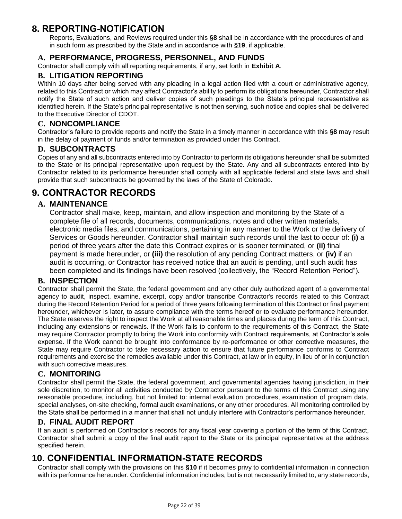# <span id="page-21-0"></span>**8. REPORTING-NOTIFICATION**

Reports, Evaluations, and Reviews required under this **§8** shall be in accordance with the procedures of and in such form as prescribed by the State and in accordance with **§19**, if applicable.

# **A. PERFORMANCE, PROGRESS, PERSONNEL, AND FUNDS**

Contractor shall comply with all reporting requirements, if any, set forth in **Exhibit A**.

# **B. LITIGATION REPORTING**

Within 10 days after being served with any pleading in a legal action filed with a court or administrative agency, related to this Contract or which may affect Contractor's ability to perform its obligations hereunder, Contractor shall notify the State of such action and deliver copies of such pleadings to the State's principal representative as identified herein. If the State's principal representative is not then serving, such notice and copies shall be delivered to the Executive Director of CDOT.

## **C. NONCOMPLIANCE**

Contractor's failure to provide reports and notify the State in a timely manner in accordance with this **§8** may result in the delay of payment of funds and/or termination as provided under this Contract.

#### **D. SUBCONTRACTS**

Copies of any and all subcontracts entered into by Contractor to perform its obligations hereunder shall be submitted to the State or its principal representative upon request by the State. Any and all subcontracts entered into by Contractor related to its performance hereunder shall comply with all applicable federal and state laws and shall provide that such subcontracts be governed by the laws of the State of Colorado.

# <span id="page-21-1"></span>**9. CONTRACTOR RECORDS**

## **A. MAINTENANCE**

Contractor shall make, keep, maintain, and allow inspection and monitoring by the State of a complete file of all records, documents, communications, notes and other written materials, electronic media files, and communications, pertaining in any manner to the Work or the delivery of Services or Goods hereunder. Contractor shall maintain such records until the last to occur of: **(i)** a period of three years after the date this Contract expires or is sooner terminated, or **(ii)** final payment is made hereunder, or **(iii)** the resolution of any pending Contract matters, or **(iv)** if an audit is occurring, or Contractor has received notice that an audit is pending, until such audit has been completed and its findings have been resolved (collectively, the "Record Retention Period").

## **B. INSPECTION**

Contractor shall permit the State, the federal government and any other duly authorized agent of a governmental agency to audit, inspect, examine, excerpt, copy and/or transcribe Contractor's records related to this Contract during the Record Retention Period for a period of three years following termination of this Contract or final payment hereunder, whichever is later, to assure compliance with the terms hereof or to evaluate performance hereunder. The State reserves the right to inspect the Work at all reasonable times and places during the term of this Contract, including any extensions or renewals. If the Work fails to conform to the requirements of this Contract, the State may require Contractor promptly to bring the Work into conformity with Contract requirements, at Contractor's sole expense. If the Work cannot be brought into conformance by re-performance or other corrective measures, the State may require Contractor to take necessary action to ensure that future performance conforms to Contract requirements and exercise the remedies available under this Contract, at law or in equity, in lieu of or in conjunction with such corrective measures.

## **C. MONITORING**

Contractor shall permit the State, the federal government, and governmental agencies having jurisdiction, in their sole discretion, to monitor all activities conducted by Contractor pursuant to the terms of this Contract using any reasonable procedure, including, but not limited to: internal evaluation procedures, examination of program data, special analyses, on-site checking, formal audit examinations, or any other procedures. All monitoring controlled by the State shall be performed in a manner that shall not unduly interfere with Contractor's performance hereunder.

## **D. FINAL AUDIT REPORT**

If an audit is performed on Contractor's records for any fiscal year covering a portion of the term of this Contract, Contractor shall submit a copy of the final audit report to the State or its principal representative at the address specified herein.

# <span id="page-21-2"></span>**10. CONFIDENTIAL INFORMATION-STATE RECORDS**

Contractor shall comply with the provisions on this **§10** if it becomes privy to confidential information in connection with its performance hereunder. Confidential information includes, but is not necessarily limited to, any state records,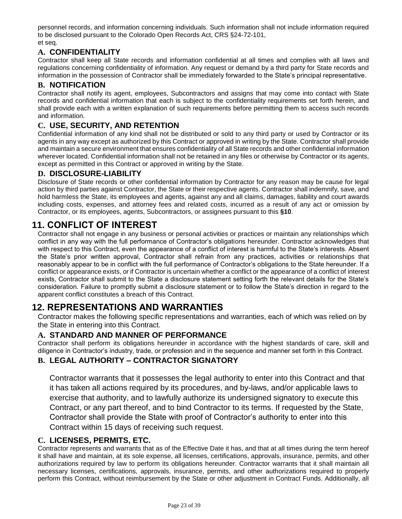personnel records, and information concerning individuals. Such information shall not include information required to be disclosed pursuant to the Colorado Open Records Act, CRS §24-72-101, et seq.

# **A. CONFIDENTIALITY**

Contractor shall keep all State records and information confidential at all times and complies with all laws and regulations concerning confidentiality of information. Any request or demand by a third party for State records and information in the possession of Contractor shall be immediately forwarded to the State's principal representative.

## **B. NOTIFICATION**

Contractor shall notify its agent, employees, Subcontractors and assigns that may come into contact with State records and confidential information that each is subject to the confidentiality requirements set forth herein, and shall provide each with a written explanation of such requirements before permitting them to access such records and information.

# **C. USE, SECURITY, AND RETENTION**

Confidential information of any kind shall not be distributed or sold to any third party or used by Contractor or its agents in any way except as authorized by this Contract or approved in writing by the State. Contractor shall provide and maintain a secure environment that ensures confidentiality of all State records and other confidential information wherever located. Confidential information shall not be retained in any files or otherwise by Contractor or its agents, except as permitted in this Contract or approved in writing by the State.

# **D. DISCLOSURE-LIABILITY**

Disclosure of State records or other confidential information by Contractor for any reason may be cause for legal action by third parties against Contractor, the State or their respective agents. Contractor shall indemnify, save, and hold harmless the State, its employees and agents, against any and all claims, damages, liability and court awards including costs, expenses, and attorney fees and related costs, incurred as a result of any act or omission by Contractor, or its employees, agents, Subcontractors, or assignees pursuant to this **§10**.

# <span id="page-22-0"></span>**11. CONFLICT OF INTEREST**

Contractor shall not engage in any business or personal activities or practices or maintain any relationships which conflict in any way with the full performance of Contractor's obligations hereunder. Contractor acknowledges that with respect to this Contract, even the appearance of a conflict of interest is harmful to the State's interests. Absent the State's prior written approval, Contractor shall refrain from any practices, activities or relationships that reasonably appear to be in conflict with the full performance of Contractor's obligations to the State hereunder. If a conflict or appearance exists, or if Contractor is uncertain whether a conflict or the appearance of a conflict of interest exists, Contractor shall submit to the State a disclosure statement setting forth the relevant details for the State's consideration. Failure to promptly submit a disclosure statement or to follow the State's direction in regard to the apparent conflict constitutes a breach of this Contract.

# <span id="page-22-1"></span>**12. REPRESENTATIONS AND WARRANTIES**

Contractor makes the following specific representations and warranties, each of which was relied on by the State in entering into this Contract.

# **A. STANDARD AND MANNER OF PERFORMANCE**

Contractor shall perform its obligations hereunder in accordance with the highest standards of care, skill and diligence in Contractor's industry, trade, or profession and in the sequence and manner set forth in this Contract.

# **B. LEGAL AUTHORITY – CONTRACTOR SIGNATORY**

Contractor warrants that it possesses the legal authority to enter into this Contract and that it has taken all actions required by its procedures, and by-laws, and/or applicable laws to exercise that authority, and to lawfully authorize its undersigned signatory to execute this Contract, or any part thereof, and to bind Contractor to its terms. If requested by the State, Contractor shall provide the State with proof of Contractor's authority to enter into this Contract within 15 days of receiving such request.

## **C. LICENSES, PERMITS, ETC.**

Contractor represents and warrants that as of the Effective Date it has, and that at all times during the term hereof it shall have and maintain, at its sole expense, all licenses, certifications, approvals, insurance, permits, and other authorizations required by law to perform its obligations hereunder. Contractor warrants that it shall maintain all necessary licenses, certifications, approvals, insurance, permits, and other authorizations required to properly perform this Contract, without reimbursement by the State or other adjustment in Contract Funds. Additionally, all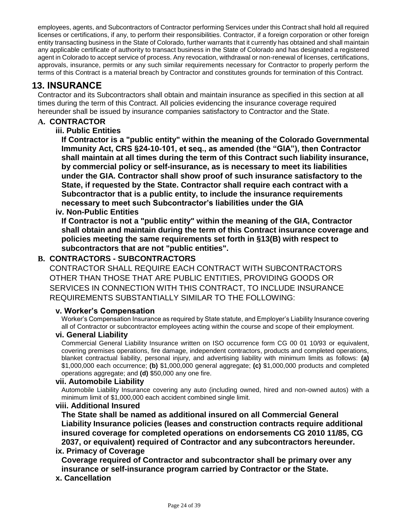employees, agents, and Subcontractors of Contractor performing Services under this Contract shall hold all required licenses or certifications, if any, to perform their responsibilities. Contractor, if a foreign corporation or other foreign entity transacting business in the State of Colorado, further warrants that it currently has obtained and shall maintain any applicable certificate of authority to transact business in the State of Colorado and has designated a registered agent in Colorado to accept service of process. Any revocation, withdrawal or non-renewal of licenses, certifications, approvals, insurance, permits or any such similar requirements necessary for Contractor to properly perform the terms of this Contract is a material breach by Contractor and constitutes grounds for termination of this Contract.

# <span id="page-23-0"></span>**13. INSURANCE**

Contractor and its Subcontractors shall obtain and maintain insurance as specified in this section at all times during the term of this Contract. All policies evidencing the insurance coverage required hereunder shall be issued by insurance companies satisfactory to Contractor and the State.

# **A. CONTRACTOR**

# **iii. Public Entities**

**If Contractor is a "public entity" within the meaning of the Colorado Governmental Immunity Act, CRS §24-10-101, et seq., as amended (the "GIA"), then Contractor shall maintain at all times during the term of this Contract such liability insurance, by commercial policy or self-insurance, as is necessary to meet its liabilities under the GIA. Contractor shall show proof of such insurance satisfactory to the State, if requested by the State. Contractor shall require each contract with a Subcontractor that is a public entity, to include the insurance requirements necessary to meet such Subcontractor's liabilities under the GIA**

# **iv. Non-Public Entities**

**If Contractor is not a "public entity" within the meaning of the GIA, Contractor shall obtain and maintain during the term of this Contract insurance coverage and policies meeting the same requirements set forth in §13(B) with respect to subcontractors that are not "public entities".** 

# **B. CONTRACTORS - SUBCONTRACTORS**

CONTRACTOR SHALL REQUIRE EACH CONTRACT WITH SUBCONTRACTORS OTHER THAN THOSE THAT ARE PUBLIC ENTITIES, PROVIDING GOODS OR SERVICES IN CONNECTION WITH THIS CONTRACT, TO INCLUDE INSURANCE REQUIREMENTS SUBSTANTIALLY SIMILAR TO THE FOLLOWING:

## **v. Worker's Compensation**

Worker's Compensation Insurance as required by State statute, and Employer's Liability Insurance covering all of Contractor or subcontractor employees acting within the course and scope of their employment.

## **vi. General Liability**

Commercial General Liability Insurance written on ISO occurrence form CG 00 01 10/93 or equivalent, covering premises operations, fire damage, independent contractors, products and completed operations, blanket contractual liability, personal injury, and advertising liability with minimum limits as follows: **(a)**  \$1,000,000 each occurrence; **(b)** \$1,000,000 general aggregate; **(c)** \$1,000,000 products and completed operations aggregate; and **(d)** \$50,000 any one fire.

## **vii. Automobile Liability**

Automobile Liability Insurance covering any auto (including owned, hired and non-owned autos) with a minimum limit of \$1,000,000 each accident combined single limit.

## **viii. Additional Insured**

**The State shall be named as additional insured on all Commercial General Liability Insurance policies (leases and construction contracts require additional insured coverage for completed operations on endorsements CG 2010 11/85, CG 2037, or equivalent) required of Contractor and any subcontractors hereunder.**

# **ix. Primacy of Coverage**

**Coverage required of Contractor and subcontractor shall be primary over any insurance or self-insurance program carried by Contractor or the State.**

## **x. Cancellation**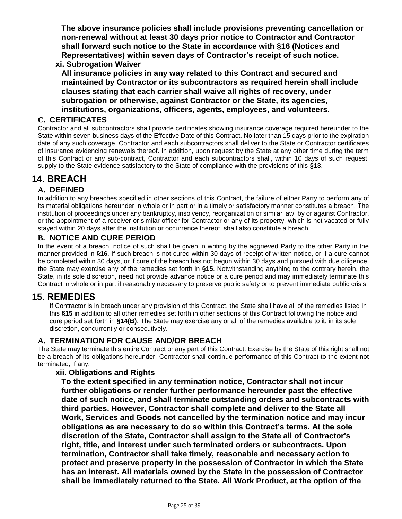**The above insurance policies shall include provisions preventing cancellation or non-renewal without at least 30 days prior notice to Contractor and Contractor shall forward such notice to the State in accordance with §16 (Notices and Representatives) within seven days of Contractor's receipt of such notice.**

# **xi. Subrogation Waiver**

**All insurance policies in any way related to this Contract and secured and maintained by Contractor or its subcontractors as required herein shall include clauses stating that each carrier shall waive all rights of recovery, under subrogation or otherwise, against Contractor or the State, its agencies, institutions, organizations, officers, agents, employees, and volunteers.**

# **C. CERTIFICATES**

Contractor and all subcontractors shall provide certificates showing insurance coverage required hereunder to the State within seven business days of the Effective Date of this Contract. No later than 15 days prior to the expiration date of any such coverage, Contractor and each subcontractors shall deliver to the State or Contractor certificates of insurance evidencing renewals thereof. In addition, upon request by the State at any other time during the term of this Contract or any sub-contract, Contractor and each subcontractors shall, within 10 days of such request, supply to the State evidence satisfactory to the State of compliance with the provisions of this **§13**.

# <span id="page-24-0"></span>**14. BREACH**

# **A. DEFINED**

In addition to any breaches specified in other sections of this Contract, the failure of either Party to perform any of its material obligations hereunder in whole or in part or in a timely or satisfactory manner constitutes a breach. The institution of proceedings under any bankruptcy, insolvency, reorganization or similar law, by or against Contractor, or the appointment of a receiver or similar officer for Contractor or any of its property, which is not vacated or fully stayed within 20 days after the institution or occurrence thereof, shall also constitute a breach.

# **B. NOTICE AND CURE PERIOD**

In the event of a breach, notice of such shall be given in writing by the aggrieved Party to the other Party in the manner provided in **§16**. If such breach is not cured within 30 days of receipt of written notice, or if a cure cannot be completed within 30 days, or if cure of the breach has not begun within 30 days and pursued with due diligence, the State may exercise any of the remedies set forth in **§15**. Notwithstanding anything to the contrary herein, the State, in its sole discretion, need not provide advance notice or a cure period and may immediately terminate this Contract in whole or in part if reasonably necessary to preserve public safety or to prevent immediate public crisis.

# <span id="page-24-1"></span>**15. REMEDIES**

If Contractor is in breach under any provision of this Contract, the State shall have all of the remedies listed in this **§15** in addition to all other remedies set forth in other sections of this Contract following the notice and cure period set forth in **§14(B)**. The State may exercise any or all of the remedies available to it, in its sole discretion, concurrently or consecutively.

# **A. TERMINATION FOR CAUSE AND/OR BREACH**

The State may terminate this entire Contract or any part of this Contract. Exercise by the State of this right shall not be a breach of its obligations hereunder. Contractor shall continue performance of this Contract to the extent not terminated, if any.

# **xii. Obligations and Rights**

**To the extent specified in any termination notice, Contractor shall not incur further obligations or render further performance hereunder past the effective date of such notice, and shall terminate outstanding orders and subcontracts with third parties. However, Contractor shall complete and deliver to the State all Work, Services and Goods not cancelled by the termination notice and may incur obligations as are necessary to do so within this Contract's terms. At the sole discretion of the State, Contractor shall assign to the State all of Contractor's right, title, and interest under such terminated orders or subcontracts. Upon termination, Contractor shall take timely, reasonable and necessary action to protect and preserve property in the possession of Contractor in which the State has an interest. All materials owned by the State in the possession of Contractor shall be immediately returned to the State. All Work Product, at the option of the**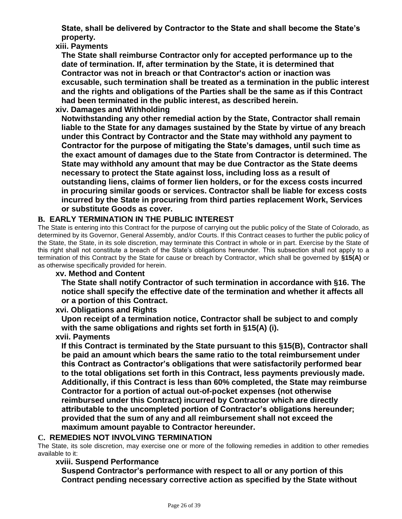**State, shall be delivered by Contractor to the State and shall become the State's property.**

**xiii. Payments**

**The State shall reimburse Contractor only for accepted performance up to the date of termination. If, after termination by the State, it is determined that Contractor was not in breach or that Contractor's action or inaction was excusable, such termination shall be treated as a termination in the public interest and the rights and obligations of the Parties shall be the same as if this Contract had been terminated in the public interest, as described herein.**

# **xiv. Damages and Withholding**

**Notwithstanding any other remedial action by the State, Contractor shall remain liable to the State for any damages sustained by the State by virtue of any breach under this Contract by Contractor and the State may withhold any payment to Contractor for the purpose of mitigating the State's damages, until such time as the exact amount of damages due to the State from Contractor is determined. The State may withhold any amount that may be due Contractor as the State deems necessary to protect the State against loss, including loss as a result of outstanding liens, claims of former lien holders, or for the excess costs incurred in procuring similar goods or services. Contractor shall be liable for excess costs incurred by the State in procuring from third parties replacement Work, Services or substitute Goods as cover.**

# **B. EARLY TERMINATION IN THE PUBLIC INTEREST**

The State is entering into this Contract for the purpose of carrying out the public policy of the State of Colorado, as determined by its Governor, General Assembly, and/or Courts. If this Contract ceases to further the public policy of the State, the State, in its sole discretion, may terminate this Contract in whole or in part. Exercise by the State of this right shall not constitute a breach of the State's obligations hereunder. This subsection shall not apply to a termination of this Contract by the State for cause or breach by Contractor, which shall be governed by **§15(A)** or as otherwise specifically provided for herein.

# **xv. Method and Content**

**The State shall notify Contractor of such termination in accordance with §16. The notice shall specify the effective date of the termination and whether it affects all or a portion of this Contract.**

# **xvi. Obligations and Rights**

**Upon receipt of a termination notice, Contractor shall be subject to and comply with the same obligations and rights set forth in §15(A) (i).**

# **xvii. Payments**

**If this Contract is terminated by the State pursuant to this §15(B), Contractor shall be paid an amount which bears the same ratio to the total reimbursement under this Contract as Contractor's obligations that were satisfactorily performed bear to the total obligations set forth in this Contract, less payments previously made. Additionally, if this Contract is less than 60% completed, the State may reimburse Contractor for a portion of actual out-of-pocket expenses (not otherwise reimbursed under this Contract) incurred by Contractor which are directly attributable to the uncompleted portion of Contractor's obligations hereunder; provided that the sum of any and all reimbursement shall not exceed the maximum amount payable to Contractor hereunder.**

# **C. REMEDIES NOT INVOLVING TERMINATION**

The State, its sole discretion, may exercise one or more of the following remedies in addition to other remedies available to it:

# **xviii. Suspend Performance**

**Suspend Contractor's performance with respect to all or any portion of this Contract pending necessary corrective action as specified by the State without**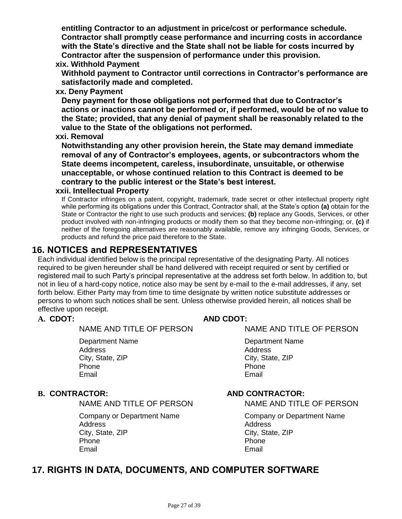**entitling Contractor to an adjustment in price/cost or performance schedule. Contractor shall promptly cease performance and incurring costs in accordance with the State's directive and the State shall not be liable for costs incurred by Contractor after the suspension of performance under this provision.**

## **xix. Withhold Payment**

**Withhold payment to Contractor until corrections in Contractor's performance are satisfactorily made and completed.**

**xx. Deny Payment**

**Deny payment for those obligations not performed that due to Contractor's actions or inactions cannot be performed or, if performed, would be of no value to the State; provided, that any denial of payment shall be reasonably related to the value to the State of the obligations not performed.**

**xxi. Removal**

**Notwithstanding any other provision herein, the State may demand immediate removal of any of Contractor's employees, agents, or subcontractors whom the State deems incompetent, careless, insubordinate, unsuitable, or otherwise unacceptable, or whose continued relation to this Contract is deemed to be contrary to the public interest or the State's best interest.**

## **xxii. Intellectual Property**

If Contractor infringes on a patent, copyright, trademark, trade secret or other intellectual property right while performing its obligations under this Contract, Contractor shall, at the State's option **(a)** obtain for the State or Contractor the right to use such products and services; **(b)** replace any Goods, Services, or other product involved with non-infringing products or modify them so that they become non-infringing; or, **(c)** if neither of the foregoing alternatives are reasonably available, remove any infringing Goods, Services, or products and refund the price paid therefore to the State.

# <span id="page-26-0"></span>**16. NOTICES and REPRESENTATIVES**

Each individual identified below is the principal representative of the designating Party. All notices required to be given hereunder shall be hand delivered with receipt required or sent by certified or registered mail to such Party's principal representative at the address set forth below. In addition to, but not in lieu of a hard-copy notice, notice also may be sent by e-mail to the e-mail addresses, if any, set forth below. Either Party may from time to time designate by written notice substitute addresses or persons to whom such notices shall be sent. Unless otherwise provided herein, all notices shall be effective upon receipt.

NAME AND TITLE OF PERSON NAME AND TITLE OF PERSON

Department Name Department Name Address Address Address Address Address Address Address Address Address Address Address Address Address Address A City, State, ZIP City, State, ZIP Phone **Phone** Phone **Phone** Email Email

NAME AND TITLE OF PERSON NAME AND TITLE OF PERSON

Address Address<br>City, State, ZIP and Contract and City, State City, State, ZIP<br>
Phone<br>
Phone<br>
Phone<br>
City, State, ZIP Phone **Phone** Phone **Phone** Email Email

# **A. CDOT: AND CDOT:**

# **B. CONTRACTOR: AND CONTRACTOR:**

Company or Department Name Company or Department Name

# <span id="page-26-1"></span>**17. RIGHTS IN DATA, DOCUMENTS, AND COMPUTER SOFTWARE**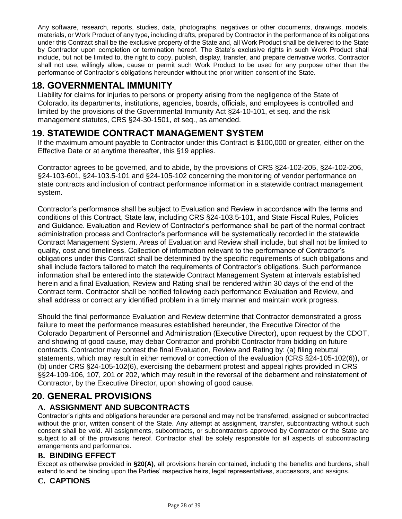Any software, research, reports, studies, data, photographs, negatives or other documents, drawings, models, materials, or Work Product of any type, including drafts, prepared by Contractor in the performance of its obligations under this Contract shall be the exclusive property of the State and, all Work Product shall be delivered to the State by Contractor upon completion or termination hereof. The State's exclusive rights in such Work Product shall include, but not be limited to, the right to copy, publish, display, transfer, and prepare derivative works. Contractor shall not use, willingly allow, cause or permit such Work Product to be used for any purpose other than the performance of Contractor's obligations hereunder without the prior written consent of the State.

# <span id="page-27-0"></span>**18. GOVERNMENTAL IMMUNITY**

Liability for claims for injuries to persons or property arising from the negligence of the State of Colorado, its departments, institutions, agencies, boards, officials, and employees is controlled and limited by the provisions of the Governmental Immunity Act §24-10-101, et seq. and the risk management statutes, CRS §24-30-1501, et seq., as amended.

# <span id="page-27-1"></span>**19. STATEWIDE CONTRACT MANAGEMENT SYSTEM**

If the maximum amount payable to Contractor under this Contract is \$100,000 or greater, either on the Effective Date or at anytime thereafter, this §19 applies.

Contractor agrees to be governed, and to abide, by the provisions of CRS §24-102-205, §24-102-206, §24-103-601, §24-103.5-101 and §24-105-102 concerning the monitoring of vendor performance on state contracts and inclusion of contract performance information in a statewide contract management system.

Contractor's performance shall be subject to Evaluation and Review in accordance with the terms and conditions of this Contract, State law, including CRS §24-103.5-101, and State Fiscal Rules, Policies and Guidance. Evaluation and Review of Contractor's performance shall be part of the normal contract administration process and Contractor's performance will be systematically recorded in the statewide Contract Management System. Areas of Evaluation and Review shall include, but shall not be limited to quality, cost and timeliness. Collection of information relevant to the performance of Contractor's obligations under this Contract shall be determined by the specific requirements of such obligations and shall include factors tailored to match the requirements of Contractor's obligations. Such performance information shall be entered into the statewide Contract Management System at intervals established herein and a final Evaluation, Review and Rating shall be rendered within 30 days of the end of the Contract term. Contractor shall be notified following each performance Evaluation and Review, and shall address or correct any identified problem in a timely manner and maintain work progress.

Should the final performance Evaluation and Review determine that Contractor demonstrated a gross failure to meet the performance measures established hereunder, the Executive Director of the Colorado Department of Personnel and Administration (Executive Director), upon request by the CDOT, and showing of good cause, may debar Contractor and prohibit Contractor from bidding on future contracts. Contractor may contest the final Evaluation, Review and Rating by: (a) filing rebuttal statements, which may result in either removal or correction of the evaluation (CRS §24-105-102(6)), or (b) under CRS §24-105-102(6), exercising the debarment protest and appeal rights provided in CRS §§24-109-106, 107, 201 or 202, which may result in the reversal of the debarment and reinstatement of Contractor, by the Executive Director, upon showing of good cause.

# <span id="page-27-2"></span>**20. GENERAL PROVISIONS**

# **A. ASSIGNMENT AND SUBCONTRACTS**

Contractor's rights and obligations hereunder are personal and may not be transferred, assigned or subcontracted without the prior, written consent of the State. Any attempt at assignment, transfer, subcontracting without such consent shall be void. All assignments, subcontracts, or subcontractors approved by Contractor or the State are subject to all of the provisions hereof. Contractor shall be solely responsible for all aspects of subcontracting arrangements and performance.

# **B. BINDING EFFECT**

Except as otherwise provided in **§20(A)**, all provisions herein contained, including the benefits and burdens, shall extend to and be binding upon the Parties' respective heirs, legal representatives, successors, and assigns.

# **C. CAPTIONS**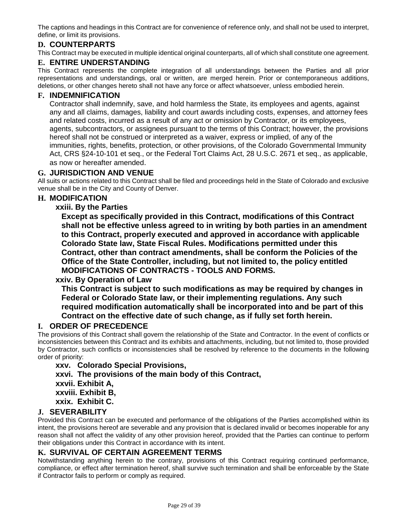The captions and headings in this Contract are for convenience of reference only, and shall not be used to interpret, define, or limit its provisions.

# **D. COUNTERPARTS**

This Contract may be executed in multiple identical original counterparts, all of which shall constitute one agreement.

## **E. ENTIRE UNDERSTANDING**

This Contract represents the complete integration of all understandings between the Parties and all prior representations and understandings, oral or written, are merged herein. Prior or contemporaneous additions, deletions, or other changes hereto shall not have any force or affect whatsoever, unless embodied herein.

#### **F. INDEMNIFICATION**

Contractor shall indemnify, save, and hold harmless the State, its employees and agents, against any and all claims, damages, liability and court awards including costs, expenses, and attorney fees and related costs, incurred as a result of any act or omission by Contractor, or its employees, agents, subcontractors, or assignees pursuant to the terms of this Contract; however, the provisions hereof shall not be construed or interpreted as a waiver, express or implied, of any of the immunities, rights, benefits, protection, or other provisions, of the Colorado Governmental Immunity Act, CRS §24-10-101 et seq., or the Federal Tort Claims Act, 28 U.S.C. 2671 et seq., as applicable, as now or hereafter amended.

#### **G. JURISDICTION AND VENUE**

All suits or actions related to this Contract shall be filed and proceedings held in the State of Colorado and exclusive venue shall be in the City and County of Denver.

## **H. MODIFICATION**

#### **xxiii. By the Parties**

**Except as specifically provided in this Contract, modifications of this Contract shall not be effective unless agreed to in writing by both parties in an amendment to this Contract, properly executed and approved in accordance with applicable Colorado State law, State Fiscal Rules. Modifications permitted under this Contract, other than contract amendments, shall be conform the Policies of the Office of the State Controller, including, but not limited to, the policy entitled MODIFICATIONS OF CONTRACTS - TOOLS AND FORMS.**

## **xxiv. By Operation of Law**

**This Contract is subject to such modifications as may be required by changes in Federal or Colorado State law, or their implementing regulations. Any such required modification automatically shall be incorporated into and be part of this Contract on the effective date of such change, as if fully set forth herein.**

## **I. ORDER OF PRECEDENCE**

The provisions of this Contract shall govern the relationship of the State and Contractor. In the event of conflicts or inconsistencies between this Contract and its exhibits and attachments, including, but not limited to, those provided by Contractor, such conflicts or inconsistencies shall be resolved by reference to the documents in the following order of priority:

**xxv. Colorado Special Provisions, xxvi. The provisions of the main body of this Contract, xxvii. Exhibit A, xxviii. Exhibit B, xxix. Exhibit C.**

# **J. SEVERABILITY**

Provided this Contract can be executed and performance of the obligations of the Parties accomplished within its intent, the provisions hereof are severable and any provision that is declared invalid or becomes inoperable for any reason shall not affect the validity of any other provision hereof, provided that the Parties can continue to perform their obligations under this Contract in accordance with its intent.

#### **K. SURVIVAL OF CERTAIN AGREEMENT TERMS**

Notwithstanding anything herein to the contrary, provisions of this Contract requiring continued performance, compliance, or effect after termination hereof, shall survive such termination and shall be enforceable by the State if Contractor fails to perform or comply as required.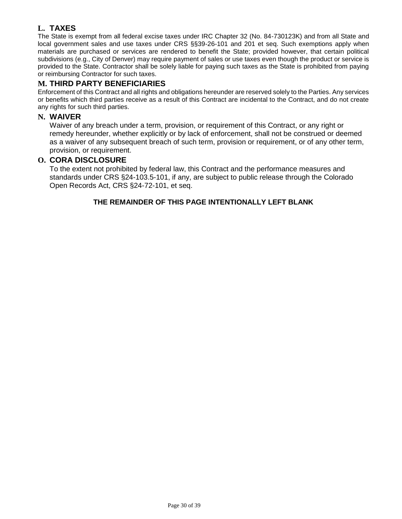# **L. TAXES**

The State is exempt from all federal excise taxes under IRC Chapter 32 (No. 84-730123K) and from all State and local government sales and use taxes under CRS §§39-26-101 and 201 et seq. Such exemptions apply when materials are purchased or services are rendered to benefit the State; provided however, that certain political subdivisions (e.g., City of Denver) may require payment of sales or use taxes even though the product or service is provided to the State. Contractor shall be solely liable for paying such taxes as the State is prohibited from paying or reimbursing Contractor for such taxes.

# **M. THIRD PARTY BENEFICIARIES**

Enforcement of this Contract and all rights and obligations hereunder are reserved solely to the Parties. Any services or benefits which third parties receive as a result of this Contract are incidental to the Contract, and do not create any rights for such third parties.

#### **N. WAIVER**

Waiver of any breach under a term, provision, or requirement of this Contract, or any right or remedy hereunder, whether explicitly or by lack of enforcement, shall not be construed or deemed as a waiver of any subsequent breach of such term, provision or requirement, or of any other term, provision, or requirement.

## **O. CORA DISCLOSURE**

To the extent not prohibited by federal law, this Contract and the performance measures and standards under CRS §24-103.5-101, if any, are subject to public release through the Colorado Open Records Act, CRS §24-72-101, et seq.

## **THE REMAINDER OF THIS PAGE INTENTIONALLY LEFT BLANK**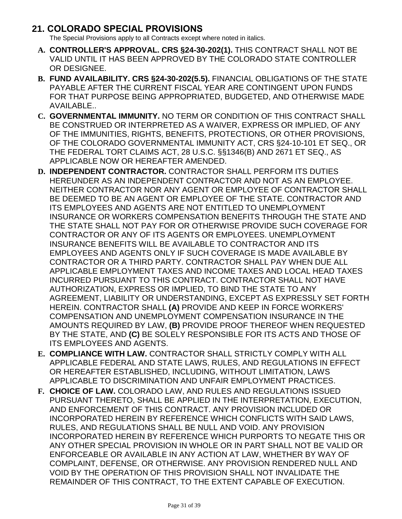# <span id="page-30-0"></span>**21. COLORADO SPECIAL PROVISIONS**

The Special Provisions apply to all Contracts except where noted in italics.

- **A. CONTROLLER'S APPROVAL. CRS §24-30-202(1).** THIS CONTRACT SHALL NOT BE VALID UNTIL IT HAS BEEN APPROVED BY THE COLORADO STATE CONTROLLER OR DESIGNEE.
- **B. FUND AVAILABILITY. CRS §24-30-202(5.5).** FINANCIAL OBLIGATIONS OF THE STATE PAYABLE AFTER THE CURRENT FISCAL YEAR ARE CONTINGENT UPON FUNDS FOR THAT PURPOSE BEING APPROPRIATED, BUDGETED, AND OTHERWISE MADE AVAILABLE..
- **C. GOVERNMENTAL IMMUNITY.** NO TERM OR CONDITION OF THIS CONTRACT SHALL BE CONSTRUED OR INTERPRETED AS A WAIVER, EXPRESS OR IMPLIED, OF ANY OF THE IMMUNITIES, RIGHTS, BENEFITS, PROTECTIONS, OR OTHER PROVISIONS, OF THE COLORADO GOVERNMENTAL IMMUNITY ACT, CRS §24-10-101 ET SEQ., OR THE FEDERAL TORT CLAIMS ACT, 28 U.S.C. §§1346(B) AND 2671 ET SEQ., AS APPLICABLE NOW OR HEREAFTER AMENDED.
- **D. INDEPENDENT CONTRACTOR.** CONTRACTOR SHALL PERFORM ITS DUTIES HEREUNDER AS AN INDEPENDENT CONTRACTOR AND NOT AS AN EMPLOYEE. NEITHER CONTRACTOR NOR ANY AGENT OR EMPLOYEE OF CONTRACTOR SHALL BE DEEMED TO BE AN AGENT OR EMPLOYEE OF THE STATE. CONTRACTOR AND ITS EMPLOYEES AND AGENTS ARE NOT ENTITLED TO UNEMPLOYMENT INSURANCE OR WORKERS COMPENSATION BENEFITS THROUGH THE STATE AND THE STATE SHALL NOT PAY FOR OR OTHERWISE PROVIDE SUCH COVERAGE FOR CONTRACTOR OR ANY OF ITS AGENTS OR EMPLOYEES. UNEMPLOYMENT INSURANCE BENEFITS WILL BE AVAILABLE TO CONTRACTOR AND ITS EMPLOYEES AND AGENTS ONLY IF SUCH COVERAGE IS MADE AVAILABLE BY CONTRACTOR OR A THIRD PARTY. CONTRACTOR SHALL PAY WHEN DUE ALL APPLICABLE EMPLOYMENT TAXES AND INCOME TAXES AND LOCAL HEAD TAXES INCURRED PURSUANT TO THIS CONTRACT. CONTRACTOR SHALL NOT HAVE AUTHORIZATION, EXPRESS OR IMPLIED, TO BIND THE STATE TO ANY AGREEMENT, LIABILITY OR UNDERSTANDING, EXCEPT AS EXPRESSLY SET FORTH HEREIN. CONTRACTOR SHALL **(A)** PROVIDE AND KEEP IN FORCE WORKERS' COMPENSATION AND UNEMPLOYMENT COMPENSATION INSURANCE IN THE AMOUNTS REQUIRED BY LAW, **(B)** PROVIDE PROOF THEREOF WHEN REQUESTED BY THE STATE, AND **(C)** BE SOLELY RESPONSIBLE FOR ITS ACTS AND THOSE OF ITS EMPLOYEES AND AGENTS.
- **E. COMPLIANCE WITH LAW.** CONTRACTOR SHALL STRICTLY COMPLY WITH ALL APPLICABLE FEDERAL AND STATE LAWS, RULES, AND REGULATIONS IN EFFECT OR HEREAFTER ESTABLISHED, INCLUDING, WITHOUT LIMITATION, LAWS APPLICABLE TO DISCRIMINATION AND UNFAIR EMPLOYMENT PRACTICES.
- **F. CHOICE OF LAW.** COLORADO LAW, AND RULES AND REGULATIONS ISSUED PURSUANT THERETO, SHALL BE APPLIED IN THE INTERPRETATION, EXECUTION, AND ENFORCEMENT OF THIS CONTRACT. ANY PROVISION INCLUDED OR INCORPORATED HEREIN BY REFERENCE WHICH CONFLICTS WITH SAID LAWS, RULES, AND REGULATIONS SHALL BE NULL AND VOID. ANY PROVISION INCORPORATED HEREIN BY REFERENCE WHICH PURPORTS TO NEGATE THIS OR ANY OTHER SPECIAL PROVISION IN WHOLE OR IN PART SHALL NOT BE VALID OR ENFORCEABLE OR AVAILABLE IN ANY ACTION AT LAW, WHETHER BY WAY OF COMPLAINT, DEFENSE, OR OTHERWISE. ANY PROVISION RENDERED NULL AND VOID BY THE OPERATION OF THIS PROVISION SHALL NOT INVALIDATE THE REMAINDER OF THIS CONTRACT, TO THE EXTENT CAPABLE OF EXECUTION.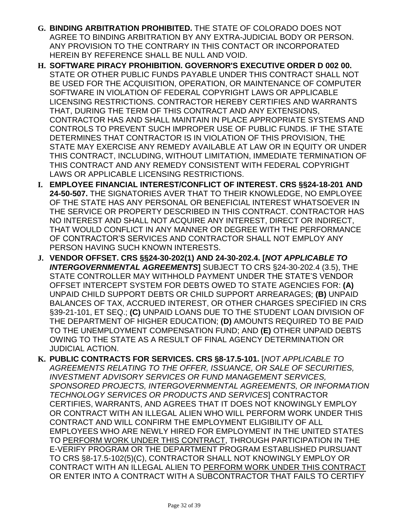- **G. BINDING ARBITRATION PROHIBITED.** THE STATE OF COLORADO DOES NOT AGREE TO BINDING ARBITRATION BY ANY EXTRA-JUDICIAL BODY OR PERSON. ANY PROVISION TO THE CONTRARY IN THIS CONTACT OR INCORPORATED HEREIN BY REFERENCE SHALL BE NULL AND VOID.
- **H. SOFTWARE PIRACY PROHIBITION. GOVERNOR'S EXECUTIVE ORDER D 002 00.**  STATE OR OTHER PUBLIC FUNDS PAYABLE UNDER THIS CONTRACT SHALL NOT BE USED FOR THE ACQUISITION, OPERATION, OR MAINTENANCE OF COMPUTER SOFTWARE IN VIOLATION OF FEDERAL COPYRIGHT LAWS OR APPLICABLE LICENSING RESTRICTIONS. CONTRACTOR HEREBY CERTIFIES AND WARRANTS THAT, DURING THE TERM OF THIS CONTRACT AND ANY EXTENSIONS, CONTRACTOR HAS AND SHALL MAINTAIN IN PLACE APPROPRIATE SYSTEMS AND CONTROLS TO PREVENT SUCH IMPROPER USE OF PUBLIC FUNDS. IF THE STATE DETERMINES THAT CONTRACTOR IS IN VIOLATION OF THIS PROVISION, THE STATE MAY EXERCISE ANY REMEDY AVAILABLE AT LAW OR IN EQUITY OR UNDER THIS CONTRACT, INCLUDING, WITHOUT LIMITATION, IMMEDIATE TERMINATION OF THIS CONTRACT AND ANY REMEDY CONSISTENT WITH FEDERAL COPYRIGHT LAWS OR APPLICABLE LICENSING RESTRICTIONS.
- **I. EMPLOYEE FINANCIAL INTEREST/CONFLICT OF INTEREST. CRS §§24-18-201 AND 24-50-507.** THE SIGNATORIES AVER THAT TO THEIR KNOWLEDGE, NO EMPLOYEE OF THE STATE HAS ANY PERSONAL OR BENEFICIAL INTEREST WHATSOEVER IN THE SERVICE OR PROPERTY DESCRIBED IN THIS CONTRACT. CONTRACTOR HAS NO INTEREST AND SHALL NOT ACQUIRE ANY INTEREST, DIRECT OR INDIRECT, THAT WOULD CONFLICT IN ANY MANNER OR DEGREE WITH THE PERFORMANCE OF CONTRACTOR'S SERVICES AND CONTRACTOR SHALL NOT EMPLOY ANY PERSON HAVING SUCH KNOWN INTERESTS.
- **J. VENDOR OFFSET. CRS §§24-30-202(1) AND 24-30-202.4. [***NOT APPLICABLE TO INTERGOVERNMENTAL AGREEMENTS***]** SUBJECT TO CRS §24-30-202.4 (3.5), THE STATE CONTROLLER MAY WITHHOLD PAYMENT UNDER THE STATE'S VENDOR OFFSET INTERCEPT SYSTEM FOR DEBTS OWED TO STATE AGENCIES FOR: **(A)** UNPAID CHILD SUPPORT DEBTS OR CHILD SUPPORT ARREARAGES; **(B)** UNPAID BALANCES OF TAX, ACCRUED INTEREST, OR OTHER CHARGES SPECIFIED IN CRS §39-21-101, ET SEQ.; **(C)** UNPAID LOANS DUE TO THE STUDENT LOAN DIVISION OF THE DEPARTMENT OF HIGHER EDUCATION; **(D)** AMOUNTS REQUIRED TO BE PAID TO THE UNEMPLOYMENT COMPENSATION FUND; AND **(E)** OTHER UNPAID DEBTS OWING TO THE STATE AS A RESULT OF FINAL AGENCY DETERMINATION OR JUDICIAL ACTION.
- **K. PUBLIC CONTRACTS FOR SERVICES. CRS §8-17.5-101.** [*NOT APPLICABLE TO AGREEMENTS RELATING TO THE OFFER, ISSUANCE, OR SALE OF SECURITIES, INVESTMENT ADVISORY SERVICES OR FUND MANAGEMENT SERVICES, SPONSORED PROJECTS, INTERGOVERNMENTAL AGREEMENTS, OR INFORMATION TECHNOLOGY SERVICES OR PRODUCTS AND SERVICES*] CONTRACTOR CERTIFIES, WARRANTS, AND AGREES THAT IT DOES NOT KNOWINGLY EMPLOY OR CONTRACT WITH AN ILLEGAL ALIEN WHO WILL PERFORM WORK UNDER THIS CONTRACT AND WILL CONFIRM THE EMPLOYMENT ELIGIBILITY OF ALL EMPLOYEES WHO ARE NEWLY HIRED FOR EMPLOYMENT IN THE UNITED STATES TO PERFORM WORK UNDER THIS CONTRACT, THROUGH PARTICIPATION IN THE E-VERIFY PROGRAM OR THE DEPARTMENT PROGRAM ESTABLISHED PURSUANT TO CRS §8-17.5-102(5)(C), CONTRACTOR SHALL NOT KNOWINGLY EMPLOY OR CONTRACT WITH AN ILLEGAL ALIEN TO PERFORM WORK UNDER THIS CONTRACT OR ENTER INTO A CONTRACT WITH A SUBCONTRACTOR THAT FAILS TO CERTIFY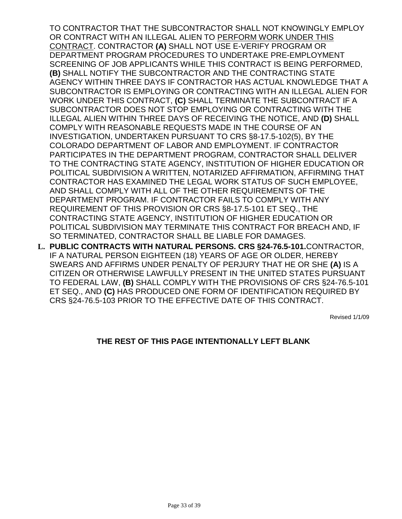TO CONTRACTOR THAT THE SUBCONTRACTOR SHALL NOT KNOWINGLY EMPLOY OR CONTRACT WITH AN ILLEGAL ALIEN TO PERFORM WORK UNDER THIS CONTRACT. CONTRACTOR **(A)** SHALL NOT USE E-VERIFY PROGRAM OR DEPARTMENT PROGRAM PROCEDURES TO UNDERTAKE PRE-EMPLOYMENT SCREENING OF JOB APPLICANTS WHILE THIS CONTRACT IS BEING PERFORMED, **(B)** SHALL NOTIFY THE SUBCONTRACTOR AND THE CONTRACTING STATE AGENCY WITHIN THREE DAYS IF CONTRACTOR HAS ACTUAL KNOWLEDGE THAT A SUBCONTRACTOR IS EMPLOYING OR CONTRACTING WITH AN ILLEGAL ALIEN FOR WORK UNDER THIS CONTRACT, **(C)** SHALL TERMINATE THE SUBCONTRACT IF A SUBCONTRACTOR DOES NOT STOP EMPLOYING OR CONTRACTING WITH THE ILLEGAL ALIEN WITHIN THREE DAYS OF RECEIVING THE NOTICE, AND **(D)** SHALL COMPLY WITH REASONABLE REQUESTS MADE IN THE COURSE OF AN INVESTIGATION, UNDERTAKEN PURSUANT TO CRS §8-17.5-102(5), BY THE COLORADO DEPARTMENT OF LABOR AND EMPLOYMENT. IF CONTRACTOR PARTICIPATES IN THE DEPARTMENT PROGRAM, CONTRACTOR SHALL DELIVER TO THE CONTRACTING STATE AGENCY, INSTITUTION OF HIGHER EDUCATION OR POLITICAL SUBDIVISION A WRITTEN, NOTARIZED AFFIRMATION, AFFIRMING THAT CONTRACTOR HAS EXAMINED THE LEGAL WORK STATUS OF SUCH EMPLOYEE, AND SHALL COMPLY WITH ALL OF THE OTHER REQUIREMENTS OF THE DEPARTMENT PROGRAM. IF CONTRACTOR FAILS TO COMPLY WITH ANY REQUIREMENT OF THIS PROVISION OR CRS §8-17.5-101 ET SEQ., THE CONTRACTING STATE AGENCY, INSTITUTION OF HIGHER EDUCATION OR POLITICAL SUBDIVISION MAY TERMINATE THIS CONTRACT FOR BREACH AND, IF SO TERMINATED, CONTRACTOR SHALL BE LIABLE FOR DAMAGES.

**L. PUBLIC CONTRACTS WITH NATURAL PERSONS. CRS §24-76.5-101.**CONTRACTOR, IF A NATURAL PERSON EIGHTEEN (18) YEARS OF AGE OR OLDER, HEREBY SWEARS AND AFFIRMS UNDER PENALTY OF PERJURY THAT HE OR SHE **(A)** IS A CITIZEN OR OTHERWISE LAWFULLY PRESENT IN THE UNITED STATES PURSUANT TO FEDERAL LAW, **(B)** SHALL COMPLY WITH THE PROVISIONS OF CRS §24-76.5-101 ET SEQ., AND **(C)** HAS PRODUCED ONE FORM OF IDENTIFICATION REQUIRED BY CRS §24-76.5-103 PRIOR TO THE EFFECTIVE DATE OF THIS CONTRACT.

Revised 1/1/09

## **THE REST OF THIS PAGE INTENTIONALLY LEFT BLANK**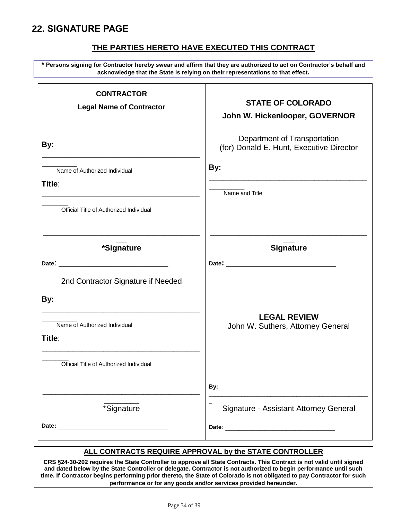# <span id="page-33-0"></span>**22. SIGNATURE PAGE**

# **THE PARTIES HERETO HAVE EXECUTED THIS CONTRACT**

**\* Persons signing for Contractor hereby swear and affirm that they are authorized to act on Contractor's behalf and acknowledge that the State is relying on their representations to that effect.** 

| <b>CONTRACTOR</b><br><b>Legal Name of Contractor</b>                                                                                                                                                         | <b>STATE OF COLORADO</b><br>John W. Hickenlooper, GOVERNOR               |
|--------------------------------------------------------------------------------------------------------------------------------------------------------------------------------------------------------------|--------------------------------------------------------------------------|
| By:                                                                                                                                                                                                          | Department of Transportation<br>(for) Donald E. Hunt, Executive Director |
| Name of Authorized Individual<br>Title:<br><u> 1989 - Johann Stoff, deutscher Stoffen und der Stoffen und der Stoffen und der Stoffen und der Stoffen und der</u><br>Official Title of Authorized Individual | By:<br>Name and Title                                                    |
| *Signature                                                                                                                                                                                                   | <b>Signature</b>                                                         |
| 2nd Contractor Signature if Needed<br>By:                                                                                                                                                                    |                                                                          |
| <u> 1989 - Johann John Stone, mars eta biztanleria (h. 1989).</u><br>Name of Authorized Individual<br>Title:                                                                                                 | <b>LEGAL REVIEW</b><br>John W. Suthers, Attorney General                 |
| Official Title of Authorized Individual                                                                                                                                                                      | By:                                                                      |
| *Signature                                                                                                                                                                                                   | Signature - Assistant Attorney General                                   |

## **ALL CONTRACTS REQUIRE APPROVAL by the STATE CONTROLLER**

**CRS §24-30-202 requires the State Controller to approve all State Contracts. This Contract is not valid until signed and dated below by the State Controller or delegate. Contractor is not authorized to begin performance until such time. If Contractor begins performing prior thereto, the State of Colorado is not obligated to pay Contractor for such performance or for any goods and/or services provided hereunder.**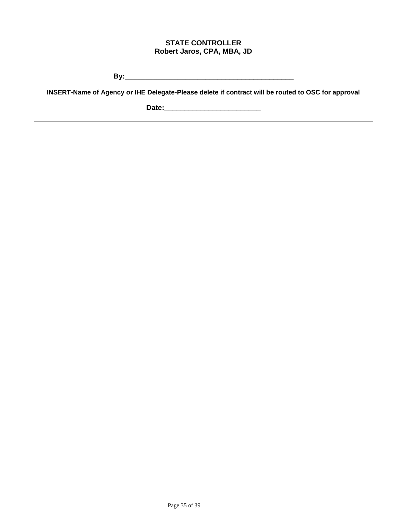| <b>STATE CONTROLLER</b>    |  |
|----------------------------|--|
| Robert Jaros, CPA, MBA, JD |  |

**By:\_\_\_\_\_\_\_\_\_\_\_\_\_\_\_\_\_\_\_\_\_\_\_\_\_\_\_\_\_\_\_\_\_\_\_\_\_\_\_\_\_\_**

**INSERT-Name of Agency or IHE Delegate-Please delete if contract will be routed to OSC for approval**

**Date:\_\_\_\_\_\_\_\_\_\_\_\_\_\_\_\_\_\_\_\_\_\_\_\_**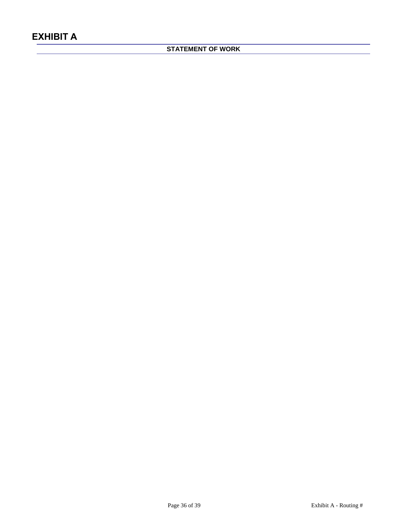# <span id="page-35-0"></span>**STATEMENT OF WORK**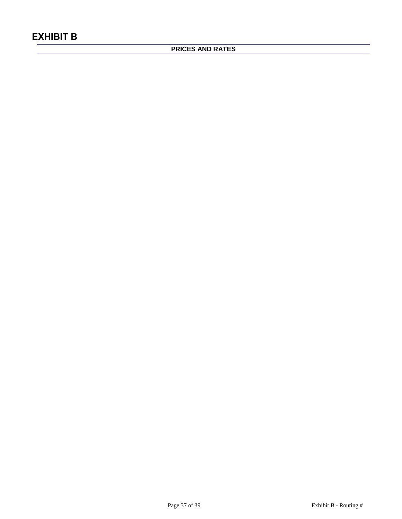# <span id="page-36-0"></span>**PRICES AND RATES**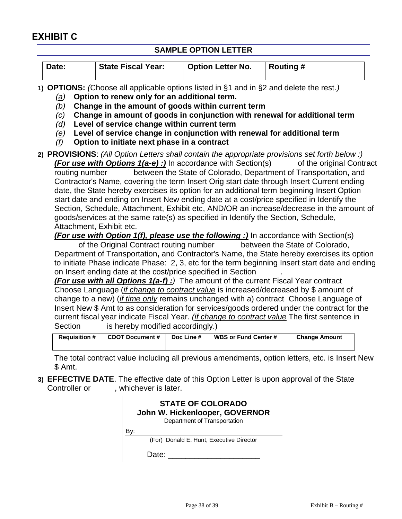# **SAMPLE OPTION LETTER**

<span id="page-37-0"></span>

| Date: | <b>State Fiscal Year:</b> | <b>Option Letter No.</b> | ∣ Routing # |
|-------|---------------------------|--------------------------|-------------|
|       |                           |                          |             |
|       |                           |                          |             |

**1) OPTIONS:** *(*Choose all applicable options listed in §1 and in §2 and delete the rest.*)*

- *(a)* **Option to renew only for an additional term.**
- *(b)* **Change in the amount of goods within current term**
- *(c)* **Change in amount of goods in conjunction with renewal for additional term**
- *(d)* **Level of service change within current term**
- *(e)* **Level of service change in conjunction with renewal for additional term**
- *(f)* **Option to initiate next phase in a contract**
- **2) PROVISIONS**: *(All Option Letters shall contain the appropriate provisions set forth below :) (For use with Options 1(a-e) :)* In accordance with Section(s) of the original Contract routing number between the State of Colorado, Department of Transportation**,** and Contractor's Name, covering the term Insert Orig start date through Insert Current ending date, the State hereby exercises its option for an additional term beginning Insert Option start date and ending on Insert New ending date at a cost/price specified in Identify the Section, Schedule, Attachment, Exhibit etc, AND/OR an increase/decrease in the amount of goods/services at the same rate(s) as specified in Identify the Section, Schedule, Attachment, Exhibit etc.

*(For use with Option 1(f), please use the following :)* In accordance with Section(s)

of the Original Contract routing number between the State of Colorado, Department of Transportation**,** and Contractor's Name, the State hereby exercises its option to initiate Phase indicate Phase: 2, 3, etc for the term beginning Insert start date and ending on Insert ending date at the cost/price specified in Section .

*(For use with all Options 1(a-f) :)* The amount of the current Fiscal Year contract Choose Language (*if change to contract value* is increased/decreased by \$ amount of change to a new) (*if time only* remains unchanged with a) contract Choose Language of Insert New \$ Amt to as consideration for services/goods ordered under the contract for the current fiscal year indicate Fiscal Year. *(if change to contract value* The first sentence in Section is hereby modified accordingly.)

| <b>Requisition #</b> | <b>CDOT Document #</b> | Doc Line # | WBS or Fund Center # | <b>Change Amount</b> |
|----------------------|------------------------|------------|----------------------|----------------------|
|                      |                        |            |                      |                      |

The total contract value including all previous amendments, option letters, etc. is Insert New \$ Amt.

**3) EFFECTIVE DATE**. The effective date of this Option Letter is upon approval of the State Controller or extending the vertical patter.

| <b>STATE OF COLORADO</b><br>John W. Hickenlooper, GOVERNOR<br>Department of Transportation |
|--------------------------------------------------------------------------------------------|
|                                                                                            |
| (For) Donald E. Hunt, Executive Director                                                   |
| Date:                                                                                      |